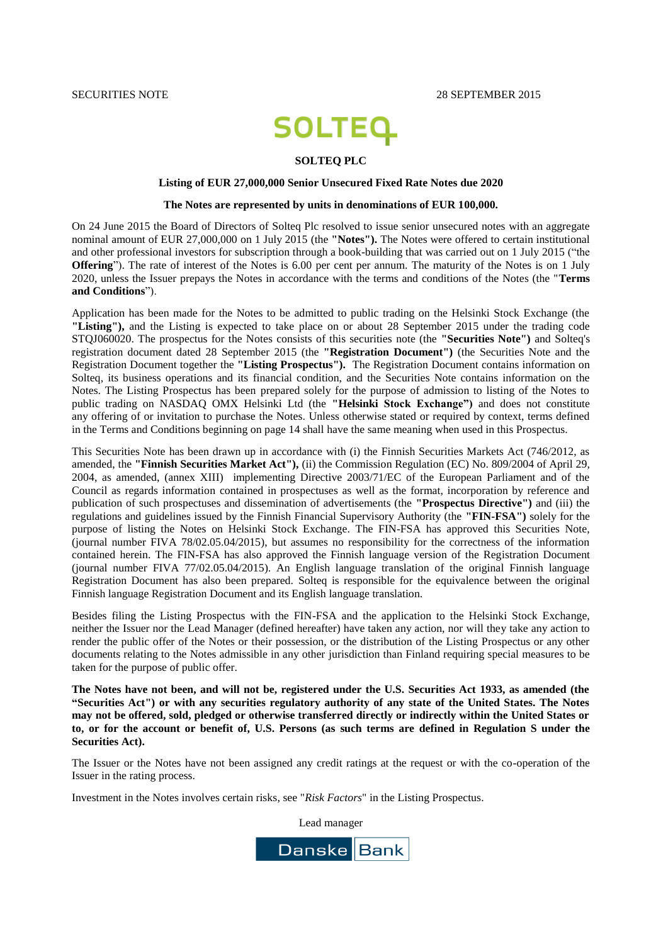SECURITIES NOTE 2015

# **SOLTEQ**

### **SOLTEQ PLC**

### **Listing of EUR 27,000,000 Senior Unsecured Fixed Rate Notes due 2020**

### **The Notes are represented by units in denominations of EUR 100,000.**

On 24 June 2015 the Board of Directors of Solteq Plc resolved to issue senior unsecured notes with an aggregate nominal amount of EUR 27,000,000 on 1 July 2015 (the **"Notes").** The Notes were offered to certain institutional and other professional investors for subscription through a book-building that was carried out on 1 July 2015 ("the **Offering**"). The rate of interest of the Notes is 6.00 per cent per annum. The maturity of the Notes is on 1 July 2020, unless the Issuer prepays the Notes in accordance with the terms and conditions of the Notes (the "**Terms and Conditions**").

Application has been made for the Notes to be admitted to public trading on the Helsinki Stock Exchange (the **"Listing"),** and the Listing is expected to take place on or about 28 September 2015 under the trading code STQJ060020. The prospectus for the Notes consists of this securities note (the **"Securities Note")** and Solteq's registration document dated 28 September 2015 (the **"Registration Document")** (the Securities Note and the Registration Document together the **"Listing Prospectus").** The Registration Document contains information on Solteq, its business operations and its financial condition, and the Securities Note contains information on the Notes. The Listing Prospectus has been prepared solely for the purpose of admission to listing of the Notes to public trading on NASDAQ OMX Helsinki Ltd (the **"Helsinki Stock Exchange")** and does not constitute any offering of or invitation to purchase the Notes. Unless otherwise stated or required by context, terms defined in the Terms and Conditions beginning on page 14 shall have the same meaning when used in this Prospectus.

This Securities Note has been drawn up in accordance with (i) the Finnish Securities Markets Act (746/2012, as amended, the **"Finnish Securities Market Act"),** (ii) the Commission Regulation (EC) No. 809/2004 of April 29, 2004, as amended, (annex XIII) implementing Directive 2003/71/EC of the European Parliament and of the Council as regards information contained in prospectuses as well as the format, incorporation by reference and publication of such prospectuses and dissemination of advertisements (the **"Prospectus Directive")** and (iii) the regulations and guidelines issued by the Finnish Financial Supervisory Authority (the **"FIN-FSA")** solely for the purpose of listing the Notes on Helsinki Stock Exchange. The FIN-FSA has approved this Securities Note, (journal number FIVA 78/02.05.04/2015), but assumes no responsibility for the correctness of the information contained herein. The FIN-FSA has also approved the Finnish language version of the Registration Document (journal number FIVA 77/02.05.04/2015). An English language translation of the original Finnish language Registration Document has also been prepared. Solteq is responsible for the equivalence between the original Finnish language Registration Document and its English language translation.

Besides filing the Listing Prospectus with the FIN-FSA and the application to the Helsinki Stock Exchange, neither the Issuer nor the Lead Manager (defined hereafter) have taken any action, nor will they take any action to render the public offer of the Notes or their possession, or the distribution of the Listing Prospectus or any other documents relating to the Notes admissible in any other jurisdiction than Finland requiring special measures to be taken for the purpose of public offer.

**The Notes have not been, and will not be, registered under the U.S. Securities Act 1933, as amended (the "Securities Act") or with any securities regulatory authority of any state of the United States. The Notes may not be offered, sold, pledged or otherwise transferred directly or indirectly within the United States or to, or for the account or benefit of, U.S. Persons (as such terms are defined in Regulation S under the Securities Act).**

The Issuer or the Notes have not been assigned any credit ratings at the request or with the co-operation of the Issuer in the rating process.

Investment in the Notes involves certain risks, see "*Risk Factors*" in the Listing Prospectus.

Lead manager

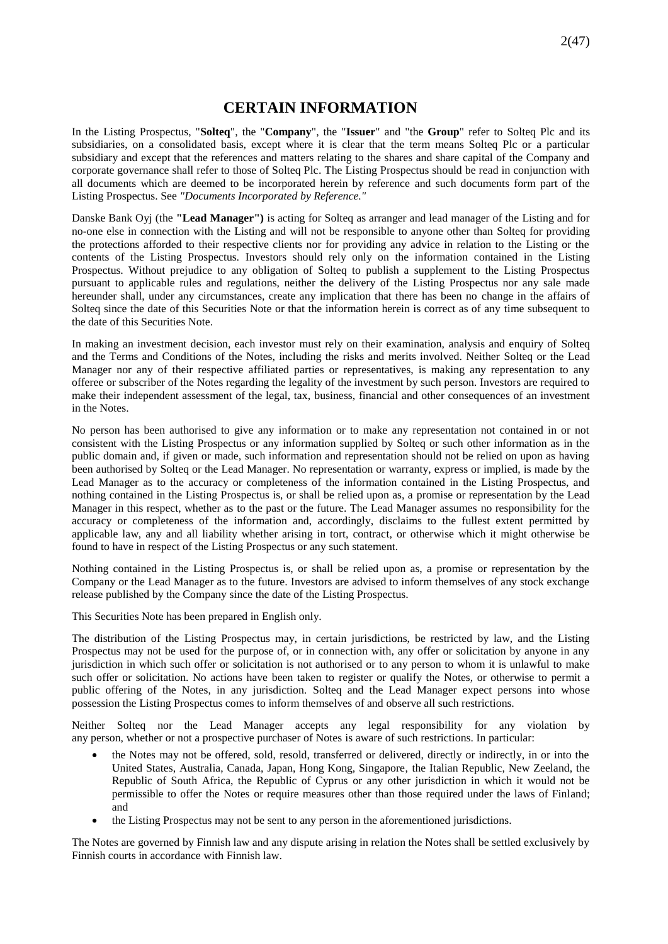# **CERTAIN INFORMATION**

<span id="page-1-0"></span>In the Listing Prospectus, "**Solteq**", the "**Company**", the "**Issuer**" and "the **Group**" refer to Solteq Plc and its subsidiaries, on a consolidated basis, except where it is clear that the term means Solteq Plc or a particular subsidiary and except that the references and matters relating to the shares and share capital of the Company and corporate governance shall refer to those of Solteq Plc. The Listing Prospectus should be read in conjunction with all documents which are deemed to be incorporated herein by reference and such documents form part of the Listing Prospectus. See *"Documents Incorporated by Reference."*

Danske Bank Oyj (the **"Lead Manager")** is acting for Solteq as arranger and lead manager of the Listing and for no-one else in connection with the Listing and will not be responsible to anyone other than Solteq for providing the protections afforded to their respective clients nor for providing any advice in relation to the Listing or the contents of the Listing Prospectus. Investors should rely only on the information contained in the Listing Prospectus. Without prejudice to any obligation of Solteq to publish a supplement to the Listing Prospectus pursuant to applicable rules and regulations, neither the delivery of the Listing Prospectus nor any sale made hereunder shall, under any circumstances, create any implication that there has been no change in the affairs of Solteq since the date of this Securities Note or that the information herein is correct as of any time subsequent to the date of this Securities Note.

In making an investment decision, each investor must rely on their examination, analysis and enquiry of Solteq and the Terms and Conditions of the Notes, including the risks and merits involved. Neither Solteq or the Lead Manager nor any of their respective affiliated parties or representatives, is making any representation to any offeree or subscriber of the Notes regarding the legality of the investment by such person. Investors are required to make their independent assessment of the legal, tax, business, financial and other consequences of an investment in the Notes.

No person has been authorised to give any information or to make any representation not contained in or not consistent with the Listing Prospectus or any information supplied by Solteq or such other information as in the public domain and, if given or made, such information and representation should not be relied on upon as having been authorised by Solteq or the Lead Manager. No representation or warranty, express or implied, is made by the Lead Manager as to the accuracy or completeness of the information contained in the Listing Prospectus, and nothing contained in the Listing Prospectus is, or shall be relied upon as, a promise or representation by the Lead Manager in this respect, whether as to the past or the future. The Lead Manager assumes no responsibility for the accuracy or completeness of the information and, accordingly, disclaims to the fullest extent permitted by applicable law, any and all liability whether arising in tort, contract, or otherwise which it might otherwise be found to have in respect of the Listing Prospectus or any such statement.

Nothing contained in the Listing Prospectus is, or shall be relied upon as, a promise or representation by the Company or the Lead Manager as to the future. Investors are advised to inform themselves of any stock exchange release published by the Company since the date of the Listing Prospectus.

This Securities Note has been prepared in English only.

The distribution of the Listing Prospectus may, in certain jurisdictions, be restricted by law, and the Listing Prospectus may not be used for the purpose of, or in connection with, any offer or solicitation by anyone in any jurisdiction in which such offer or solicitation is not authorised or to any person to whom it is unlawful to make such offer or solicitation. No actions have been taken to register or qualify the Notes, or otherwise to permit a public offering of the Notes, in any jurisdiction. Solteq and the Lead Manager expect persons into whose possession the Listing Prospectus comes to inform themselves of and observe all such restrictions.

Neither Solteq nor the Lead Manager accepts any legal responsibility for any violation by any person, whether or not a prospective purchaser of Notes is aware of such restrictions. In particular:

- the Notes may not be offered, sold, resold, transferred or delivered, directly or indirectly, in or into the United States, Australia, Canada, Japan, Hong Kong, Singapore, the Italian Republic, New Zeeland, the Republic of South Africa, the Republic of Cyprus or any other jurisdiction in which it would not be permissible to offer the Notes or require measures other than those required under the laws of Finland; and
- the Listing Prospectus may not be sent to any person in the aforementioned jurisdictions.

The Notes are governed by Finnish law and any dispute arising in relation the Notes shall be settled exclusively by Finnish courts in accordance with Finnish law.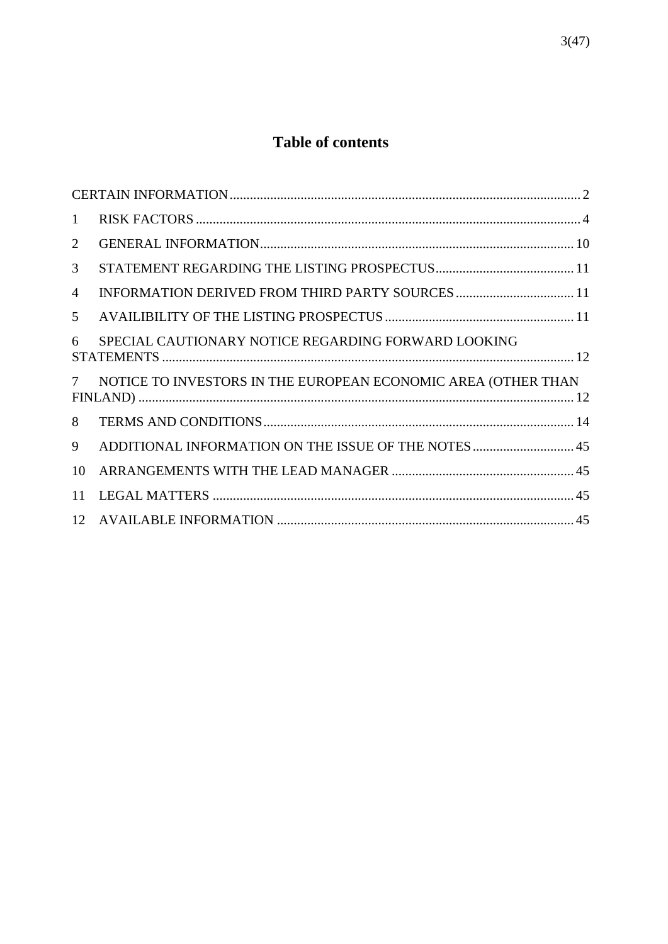# **Table of contents**

| $\mathbf{1}$    |                                                               |  |
|-----------------|---------------------------------------------------------------|--|
| 2               |                                                               |  |
| 3               |                                                               |  |
| 4               |                                                               |  |
| 5               |                                                               |  |
| 6               | SPECIAL CAUTIONARY NOTICE REGARDING FORWARD LOOKING           |  |
| $7\overline{ }$ | NOTICE TO INVESTORS IN THE EUROPEAN ECONOMIC AREA (OTHER THAN |  |
| 8               |                                                               |  |
| 9               | ADDITIONAL INFORMATION ON THE ISSUE OF THE NOTES  45          |  |
| 10              |                                                               |  |
| 11              |                                                               |  |
|                 |                                                               |  |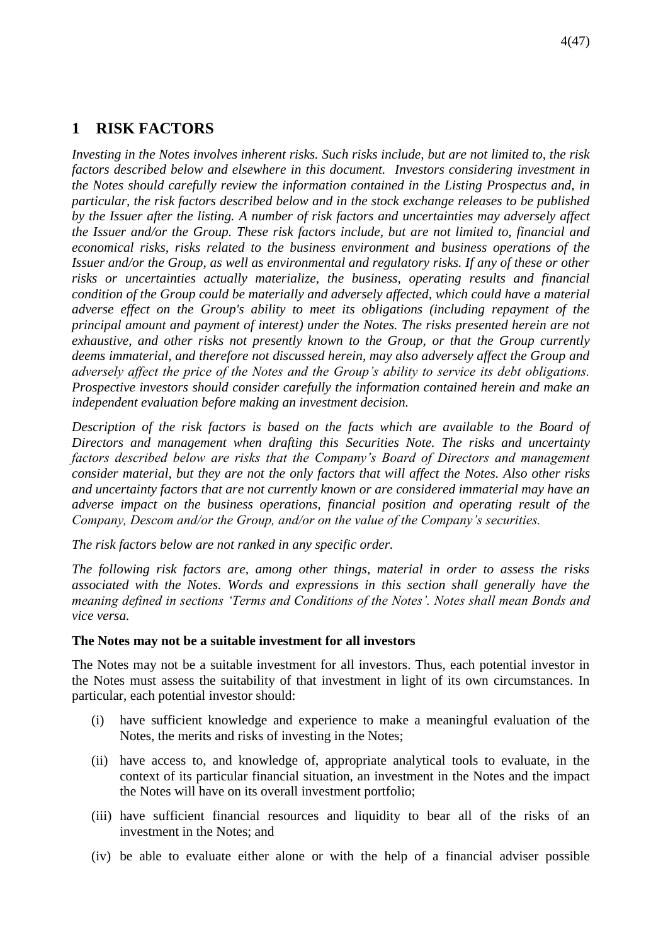# <span id="page-3-0"></span>**1 RISK FACTORS**

*Investing in the Notes involves inherent risks. Such risks include, but are not limited to, the risk factors described below and elsewhere in this document. Investors considering investment in the Notes should carefully review the information contained in the Listing Prospectus and, in particular, the risk factors described below and in the stock exchange releases to be published by the Issuer after the listing. A number of risk factors and uncertainties may adversely affect the Issuer and/or the Group. These risk factors include, but are not limited to, financial and economical risks, risks related to the business environment and business operations of the Issuer and/or the Group, as well as environmental and regulatory risks. If any of these or other risks or uncertainties actually materialize, the business, operating results and financial condition of the Group could be materially and adversely affected, which could have a material adverse effect on the Group's ability to meet its obligations (including repayment of the principal amount and payment of interest) under the Notes. The risks presented herein are not exhaustive, and other risks not presently known to the Group, or that the Group currently deems immaterial, and therefore not discussed herein, may also adversely affect the Group and adversely affect the price of the Notes and the Group's ability to service its debt obligations. Prospective investors should consider carefully the information contained herein and make an independent evaluation before making an investment decision.* 

*Description of the risk factors is based on the facts which are available to the Board of Directors and management when drafting this Securities Note. The risks and uncertainty factors described below are risks that the Company's Board of Directors and management consider material, but they are not the only factors that will affect the Notes. Also other risks and uncertainty factors that are not currently known or are considered immaterial may have an adverse impact on the business operations, financial position and operating result of the Company, Descom and/or the Group, and/or on the value of the Company's securities.* 

*The risk factors below are not ranked in any specific order.*

*The following risk factors are, among other things, material in order to assess the risks associated with the Notes. Words and expressions in this section shall generally have the meaning defined in sections 'Terms and Conditions of the Notes'. Notes shall mean Bonds and vice versa.* 

### **The Notes may not be a suitable investment for all investors**

The Notes may not be a suitable investment for all investors. Thus, each potential investor in the Notes must assess the suitability of that investment in light of its own circumstances. In particular, each potential investor should:

- (i) have sufficient knowledge and experience to make a meaningful evaluation of the Notes, the merits and risks of investing in the Notes;
- (ii) have access to, and knowledge of, appropriate analytical tools to evaluate, in the context of its particular financial situation, an investment in the Notes and the impact the Notes will have on its overall investment portfolio;
- (iii) have sufficient financial resources and liquidity to bear all of the risks of an investment in the Notes; and
- (iv) be able to evaluate either alone or with the help of a financial adviser possible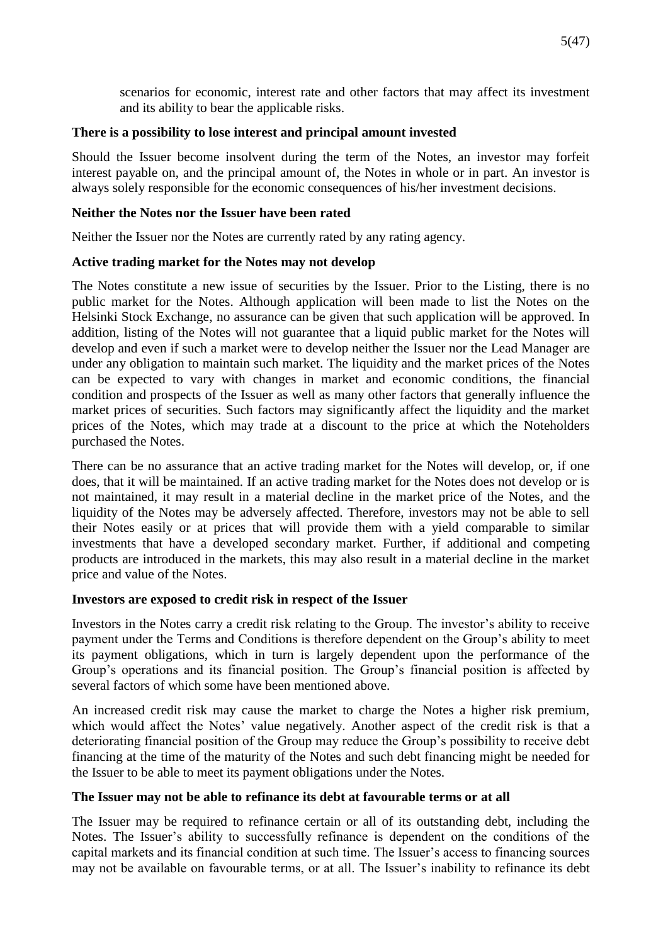scenarios for economic, interest rate and other factors that may affect its investment and its ability to bear the applicable risks.

### **There is a possibility to lose interest and principal amount invested**

Should the Issuer become insolvent during the term of the Notes, an investor may forfeit interest payable on, and the principal amount of, the Notes in whole or in part. An investor is always solely responsible for the economic consequences of his/her investment decisions.

# **Neither the Notes nor the Issuer have been rated**

Neither the Issuer nor the Notes are currently rated by any rating agency.

# **Active trading market for the Notes may not develop**

The Notes constitute a new issue of securities by the Issuer. Prior to the Listing, there is no public market for the Notes. Although application will been made to list the Notes on the Helsinki Stock Exchange, no assurance can be given that such application will be approved. In addition, listing of the Notes will not guarantee that a liquid public market for the Notes will develop and even if such a market were to develop neither the Issuer nor the Lead Manager are under any obligation to maintain such market. The liquidity and the market prices of the Notes can be expected to vary with changes in market and economic conditions, the financial condition and prospects of the Issuer as well as many other factors that generally influence the market prices of securities. Such factors may significantly affect the liquidity and the market prices of the Notes, which may trade at a discount to the price at which the Noteholders purchased the Notes.

There can be no assurance that an active trading market for the Notes will develop, or, if one does, that it will be maintained. If an active trading market for the Notes does not develop or is not maintained, it may result in a material decline in the market price of the Notes, and the liquidity of the Notes may be adversely affected. Therefore, investors may not be able to sell their Notes easily or at prices that will provide them with a yield comparable to similar investments that have a developed secondary market. Further, if additional and competing products are introduced in the markets, this may also result in a material decline in the market price and value of the Notes.

### **Investors are exposed to credit risk in respect of the Issuer**

Investors in the Notes carry a credit risk relating to the Group. The investor's ability to receive payment under the Terms and Conditions is therefore dependent on the Group's ability to meet its payment obligations, which in turn is largely dependent upon the performance of the Group's operations and its financial position. The Group's financial position is affected by several factors of which some have been mentioned above.

An increased credit risk may cause the market to charge the Notes a higher risk premium, which would affect the Notes' value negatively. Another aspect of the credit risk is that a deteriorating financial position of the Group may reduce the Group's possibility to receive debt financing at the time of the maturity of the Notes and such debt financing might be needed for the Issuer to be able to meet its payment obligations under the Notes.

### **The Issuer may not be able to refinance its debt at favourable terms or at all**

The Issuer may be required to refinance certain or all of its outstanding debt, including the Notes. The Issuer's ability to successfully refinance is dependent on the conditions of the capital markets and its financial condition at such time. The Issuer's access to financing sources may not be available on favourable terms, or at all. The Issuer's inability to refinance its debt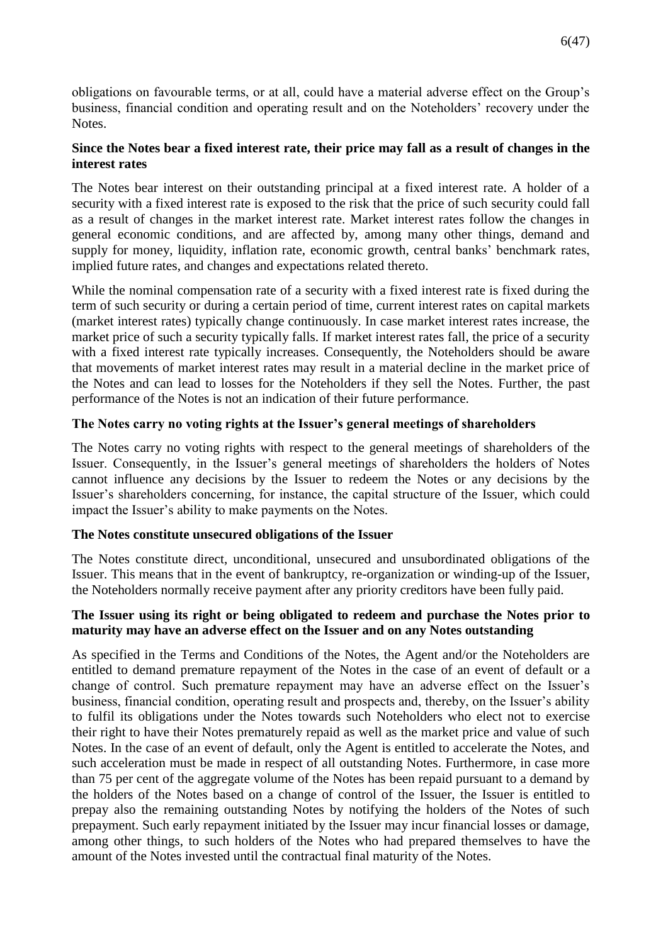obligations on favourable terms, or at all, could have a material adverse effect on the Group's business, financial condition and operating result and on the Noteholders' recovery under the Notes.

# **Since the Notes bear a fixed interest rate, their price may fall as a result of changes in the interest rates**

The Notes bear interest on their outstanding principal at a fixed interest rate. A holder of a security with a fixed interest rate is exposed to the risk that the price of such security could fall as a result of changes in the market interest rate. Market interest rates follow the changes in general economic conditions, and are affected by, among many other things, demand and supply for money, liquidity, inflation rate, economic growth, central banks' benchmark rates, implied future rates, and changes and expectations related thereto.

While the nominal compensation rate of a security with a fixed interest rate is fixed during the term of such security or during a certain period of time, current interest rates on capital markets (market interest rates) typically change continuously. In case market interest rates increase, the market price of such a security typically falls. If market interest rates fall, the price of a security with a fixed interest rate typically increases. Consequently, the Noteholders should be aware that movements of market interest rates may result in a material decline in the market price of the Notes and can lead to losses for the Noteholders if they sell the Notes. Further, the past performance of the Notes is not an indication of their future performance.

# **The Notes carry no voting rights at the Issuer's general meetings of shareholders**

The Notes carry no voting rights with respect to the general meetings of shareholders of the Issuer. Consequently, in the Issuer's general meetings of shareholders the holders of Notes cannot influence any decisions by the Issuer to redeem the Notes or any decisions by the Issuer's shareholders concerning, for instance, the capital structure of the Issuer, which could impact the Issuer's ability to make payments on the Notes.

# **The Notes constitute unsecured obligations of the Issuer**

The Notes constitute direct, unconditional, unsecured and unsubordinated obligations of the Issuer. This means that in the event of bankruptcy, re-organization or winding-up of the Issuer, the Noteholders normally receive payment after any priority creditors have been fully paid.

# **The Issuer using its right or being obligated to redeem and purchase the Notes prior to maturity may have an adverse effect on the Issuer and on any Notes outstanding**

As specified in the Terms and Conditions of the Notes, the Agent and/or the Noteholders are entitled to demand premature repayment of the Notes in the case of an event of default or a change of control. Such premature repayment may have an adverse effect on the Issuer's business, financial condition, operating result and prospects and, thereby, on the Issuer's ability to fulfil its obligations under the Notes towards such Noteholders who elect not to exercise their right to have their Notes prematurely repaid as well as the market price and value of such Notes. In the case of an event of default, only the Agent is entitled to accelerate the Notes, and such acceleration must be made in respect of all outstanding Notes. Furthermore, in case more than 75 per cent of the aggregate volume of the Notes has been repaid pursuant to a demand by the holders of the Notes based on a change of control of the Issuer, the Issuer is entitled to prepay also the remaining outstanding Notes by notifying the holders of the Notes of such prepayment. Such early repayment initiated by the Issuer may incur financial losses or damage, among other things, to such holders of the Notes who had prepared themselves to have the amount of the Notes invested until the contractual final maturity of the Notes.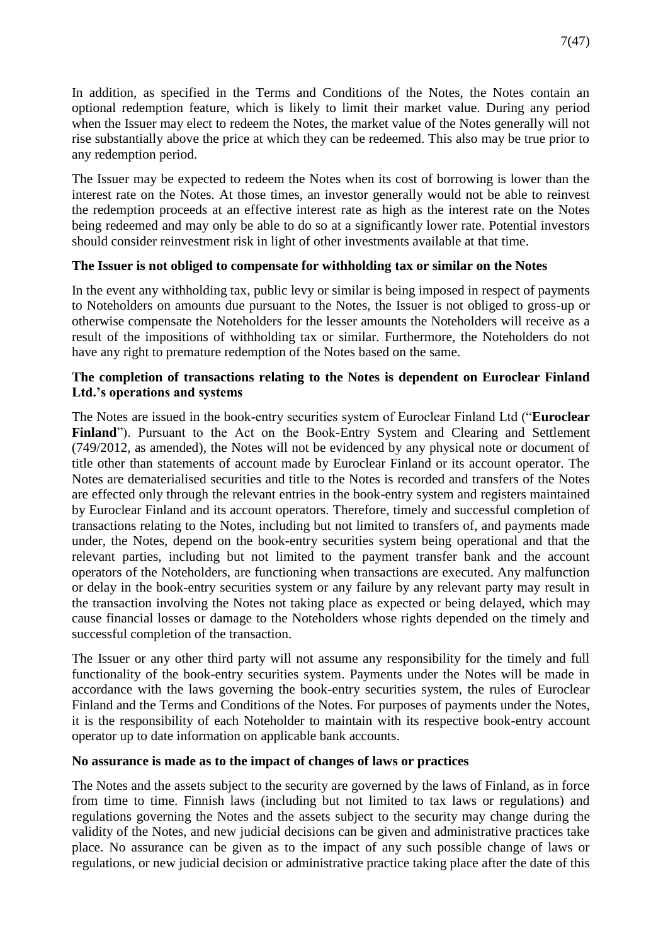In addition, as specified in the Terms and Conditions of the Notes, the Notes contain an optional redemption feature, which is likely to limit their market value. During any period when the Issuer may elect to redeem the Notes, the market value of the Notes generally will not rise substantially above the price at which they can be redeemed. This also may be true prior to any redemption period.

The Issuer may be expected to redeem the Notes when its cost of borrowing is lower than the interest rate on the Notes. At those times, an investor generally would not be able to reinvest the redemption proceeds at an effective interest rate as high as the interest rate on the Notes being redeemed and may only be able to do so at a significantly lower rate. Potential investors should consider reinvestment risk in light of other investments available at that time.

# **The Issuer is not obliged to compensate for withholding tax or similar on the Notes**

In the event any withholding tax, public levy or similar is being imposed in respect of payments to Noteholders on amounts due pursuant to the Notes, the Issuer is not obliged to gross-up or otherwise compensate the Noteholders for the lesser amounts the Noteholders will receive as a result of the impositions of withholding tax or similar. Furthermore, the Noteholders do not have any right to premature redemption of the Notes based on the same.

# **The completion of transactions relating to the Notes is dependent on Euroclear Finland Ltd.'s operations and systems**

The Notes are issued in the book-entry securities system of Euroclear Finland Ltd ("**Euroclear Finland**"). Pursuant to the Act on the Book-Entry System and Clearing and Settlement (749/2012, as amended), the Notes will not be evidenced by any physical note or document of title other than statements of account made by Euroclear Finland or its account operator. The Notes are dematerialised securities and title to the Notes is recorded and transfers of the Notes are effected only through the relevant entries in the book-entry system and registers maintained by Euroclear Finland and its account operators. Therefore, timely and successful completion of transactions relating to the Notes, including but not limited to transfers of, and payments made under, the Notes, depend on the book-entry securities system being operational and that the relevant parties, including but not limited to the payment transfer bank and the account operators of the Noteholders, are functioning when transactions are executed. Any malfunction or delay in the book-entry securities system or any failure by any relevant party may result in the transaction involving the Notes not taking place as expected or being delayed, which may cause financial losses or damage to the Noteholders whose rights depended on the timely and successful completion of the transaction.

The Issuer or any other third party will not assume any responsibility for the timely and full functionality of the book-entry securities system. Payments under the Notes will be made in accordance with the laws governing the book-entry securities system, the rules of Euroclear Finland and the Terms and Conditions of the Notes. For purposes of payments under the Notes, it is the responsibility of each Noteholder to maintain with its respective book-entry account operator up to date information on applicable bank accounts.

### **No assurance is made as to the impact of changes of laws or practices**

The Notes and the assets subject to the security are governed by the laws of Finland, as in force from time to time. Finnish laws (including but not limited to tax laws or regulations) and regulations governing the Notes and the assets subject to the security may change during the validity of the Notes, and new judicial decisions can be given and administrative practices take place. No assurance can be given as to the impact of any such possible change of laws or regulations, or new judicial decision or administrative practice taking place after the date of this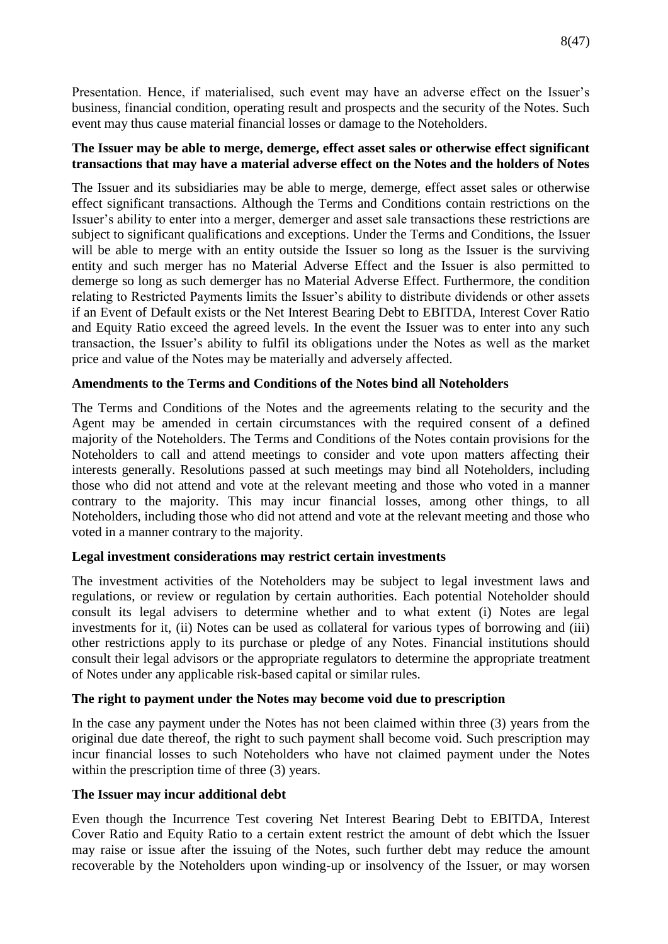Presentation. Hence, if materialised, such event may have an adverse effect on the Issuer's business, financial condition, operating result and prospects and the security of the Notes. Such event may thus cause material financial losses or damage to the Noteholders.

# **The Issuer may be able to merge, demerge, effect asset sales or otherwise effect significant transactions that may have a material adverse effect on the Notes and the holders of Notes**

The Issuer and its subsidiaries may be able to merge, demerge, effect asset sales or otherwise effect significant transactions. Although the Terms and Conditions contain restrictions on the Issuer's ability to enter into a merger, demerger and asset sale transactions these restrictions are subject to significant qualifications and exceptions. Under the Terms and Conditions, the Issuer will be able to merge with an entity outside the Issuer so long as the Issuer is the surviving entity and such merger has no Material Adverse Effect and the Issuer is also permitted to demerge so long as such demerger has no Material Adverse Effect. Furthermore, the condition relating to Restricted Payments limits the Issuer's ability to distribute dividends or other assets if an Event of Default exists or the Net Interest Bearing Debt to EBITDA, Interest Cover Ratio and Equity Ratio exceed the agreed levels. In the event the Issuer was to enter into any such transaction, the Issuer's ability to fulfil its obligations under the Notes as well as the market price and value of the Notes may be materially and adversely affected.

# **Amendments to the Terms and Conditions of the Notes bind all Noteholders**

The Terms and Conditions of the Notes and the agreements relating to the security and the Agent may be amended in certain circumstances with the required consent of a defined majority of the Noteholders. The Terms and Conditions of the Notes contain provisions for the Noteholders to call and attend meetings to consider and vote upon matters affecting their interests generally. Resolutions passed at such meetings may bind all Noteholders, including those who did not attend and vote at the relevant meeting and those who voted in a manner contrary to the majority. This may incur financial losses, among other things, to all Noteholders, including those who did not attend and vote at the relevant meeting and those who voted in a manner contrary to the majority.

### **Legal investment considerations may restrict certain investments**

The investment activities of the Noteholders may be subject to legal investment laws and regulations, or review or regulation by certain authorities. Each potential Noteholder should consult its legal advisers to determine whether and to what extent (i) Notes are legal investments for it, (ii) Notes can be used as collateral for various types of borrowing and (iii) other restrictions apply to its purchase or pledge of any Notes. Financial institutions should consult their legal advisors or the appropriate regulators to determine the appropriate treatment of Notes under any applicable risk-based capital or similar rules.

# **The right to payment under the Notes may become void due to prescription**

In the case any payment under the Notes has not been claimed within three (3) years from the original due date thereof, the right to such payment shall become void. Such prescription may incur financial losses to such Noteholders who have not claimed payment under the Notes within the prescription time of three  $(3)$  years.

### **The Issuer may incur additional debt**

Even though the Incurrence Test covering Net Interest Bearing Debt to EBITDA, Interest Cover Ratio and Equity Ratio to a certain extent restrict the amount of debt which the Issuer may raise or issue after the issuing of the Notes, such further debt may reduce the amount recoverable by the Noteholders upon winding-up or insolvency of the Issuer, or may worsen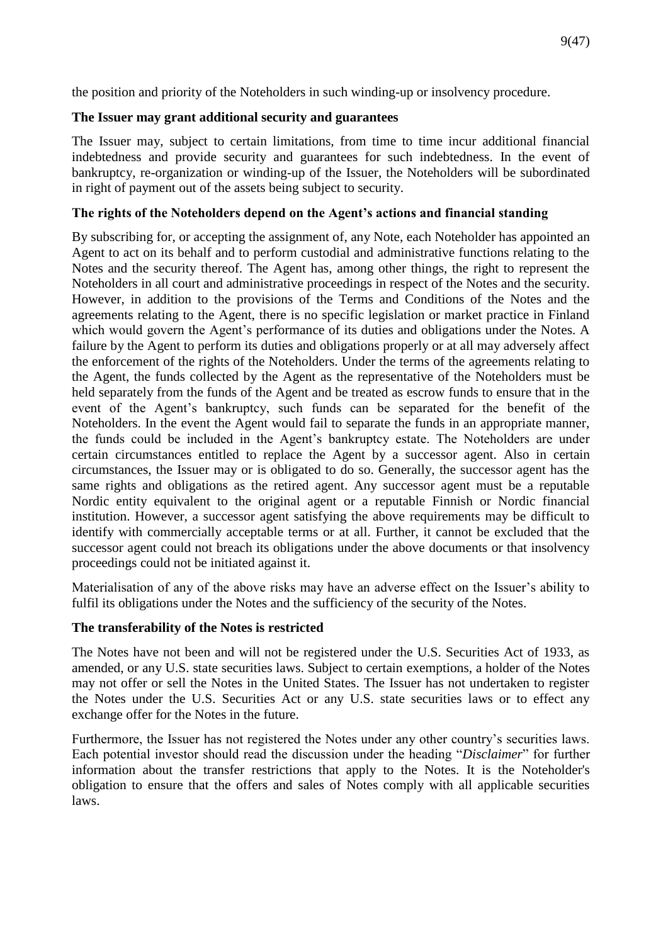the position and priority of the Noteholders in such winding-up or insolvency procedure.

# **The Issuer may grant additional security and guarantees**

The Issuer may, subject to certain limitations, from time to time incur additional financial indebtedness and provide security and guarantees for such indebtedness. In the event of bankruptcy, re-organization or winding-up of the Issuer, the Noteholders will be subordinated in right of payment out of the assets being subject to security.

# **The rights of the Noteholders depend on the Agent's actions and financial standing**

By subscribing for, or accepting the assignment of, any Note, each Noteholder has appointed an Agent to act on its behalf and to perform custodial and administrative functions relating to the Notes and the security thereof. The Agent has, among other things, the right to represent the Noteholders in all court and administrative proceedings in respect of the Notes and the security. However, in addition to the provisions of the Terms and Conditions of the Notes and the agreements relating to the Agent, there is no specific legislation or market practice in Finland which would govern the Agent's performance of its duties and obligations under the Notes. A failure by the Agent to perform its duties and obligations properly or at all may adversely affect the enforcement of the rights of the Noteholders. Under the terms of the agreements relating to the Agent, the funds collected by the Agent as the representative of the Noteholders must be held separately from the funds of the Agent and be treated as escrow funds to ensure that in the event of the Agent's bankruptcy, such funds can be separated for the benefit of the Noteholders. In the event the Agent would fail to separate the funds in an appropriate manner, the funds could be included in the Agent's bankruptcy estate. The Noteholders are under certain circumstances entitled to replace the Agent by a successor agent. Also in certain circumstances, the Issuer may or is obligated to do so. Generally, the successor agent has the same rights and obligations as the retired agent. Any successor agent must be a reputable Nordic entity equivalent to the original agent or a reputable Finnish or Nordic financial institution. However, a successor agent satisfying the above requirements may be difficult to identify with commercially acceptable terms or at all. Further, it cannot be excluded that the successor agent could not breach its obligations under the above documents or that insolvency proceedings could not be initiated against it.

Materialisation of any of the above risks may have an adverse effect on the Issuer's ability to fulfil its obligations under the Notes and the sufficiency of the security of the Notes.

# **The transferability of the Notes is restricted**

The Notes have not been and will not be registered under the U.S. Securities Act of 1933, as amended, or any U.S. state securities laws. Subject to certain exemptions, a holder of the Notes may not offer or sell the Notes in the United States. The Issuer has not undertaken to register the Notes under the U.S. Securities Act or any U.S. state securities laws or to effect any exchange offer for the Notes in the future.

Furthermore, the Issuer has not registered the Notes under any other country's securities laws. Each potential investor should read the discussion under the heading "*Disclaimer*" for further information about the transfer restrictions that apply to the Notes. It is the Noteholder's obligation to ensure that the offers and sales of Notes comply with all applicable securities laws.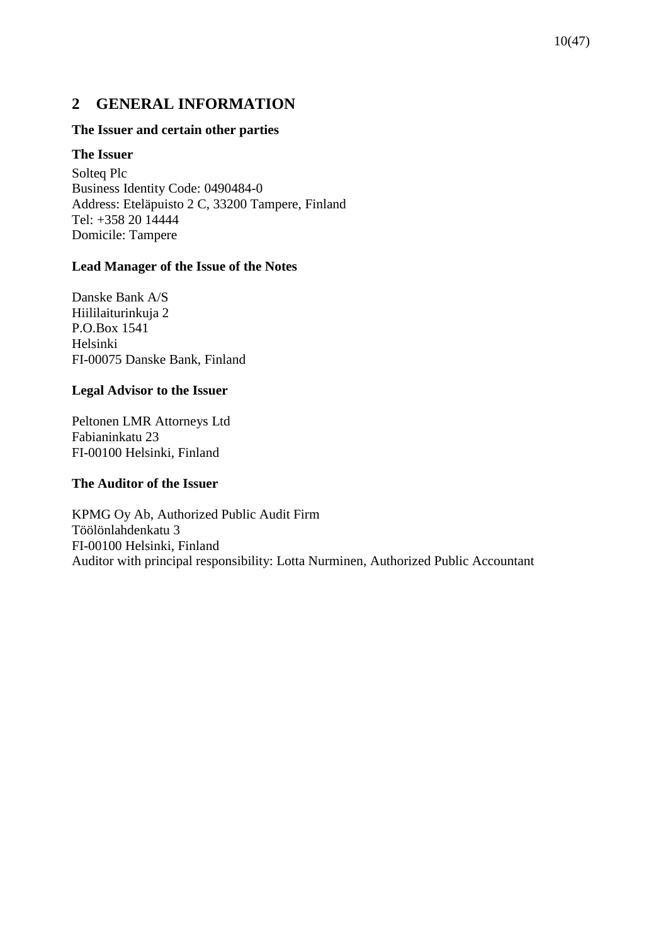# <span id="page-9-0"></span>**2 GENERAL INFORMATION**

### **The Issuer and certain other parties**

### **The Issuer**

Solteq Plc Business Identity Code: 0490484-0 Address: Eteläpuisto 2 C, 33200 Tampere, Finland Tel: +358 20 14444 Domicile: Tampere

### **Lead Manager of the Issue of the Notes**

Danske Bank A/S Hiililaiturinkuja 2 P.O.Box 1541 Helsinki FI-00075 Danske Bank, Finland

### **Legal Advisor to the Issuer**

Peltonen LMR Attorneys Ltd Fabianinkatu 23 FI-00100 Helsinki, Finland

### **The Auditor of the Issuer**

KPMG Oy Ab, Authorized Public Audit Firm Töölönlahdenkatu 3 FI-00100 Helsinki, Finland Auditor with principal responsibility: Lotta Nurminen, Authorized Public Accountant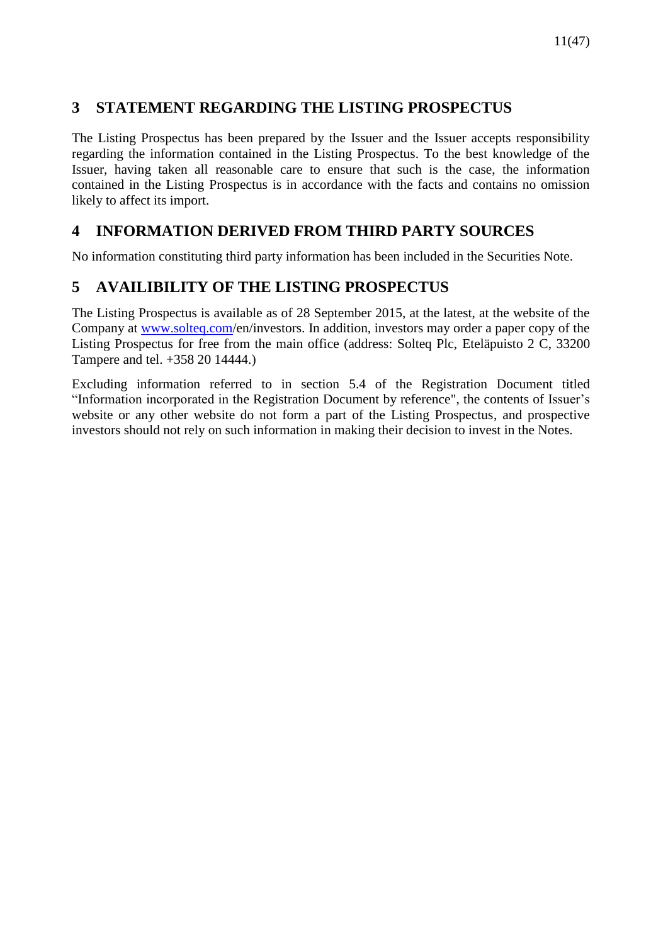# <span id="page-10-0"></span>**3 STATEMENT REGARDING THE LISTING PROSPECTUS**

The Listing Prospectus has been prepared by the Issuer and the Issuer accepts responsibility regarding the information contained in the Listing Prospectus. To the best knowledge of the Issuer, having taken all reasonable care to ensure that such is the case, the information contained in the Listing Prospectus is in accordance with the facts and contains no omission likely to affect its import.

# <span id="page-10-1"></span>**4 INFORMATION DERIVED FROM THIRD PARTY SOURCES**

No information constituting third party information has been included in the Securities Note.

# <span id="page-10-2"></span>**5 AVAILIBILITY OF THE LISTING PROSPECTUS**

The Listing Prospectus is available as of 28 September 2015, at the latest, at the website of the Company at [www.solteq.com/](http://www.solteq.com/)en/investors. In addition, investors may order a paper copy of the Listing Prospectus for free from the main office (address: Solteq Plc, Eteläpuisto 2 C, 33200 Tampere and tel. +358 20 14444.)

Excluding information referred to in section 5.4 of the Registration Document titled "Information incorporated in the Registration Document by reference", the contents of Issuer's website or any other website do not form a part of the Listing Prospectus, and prospective investors should not rely on such information in making their decision to invest in the Notes.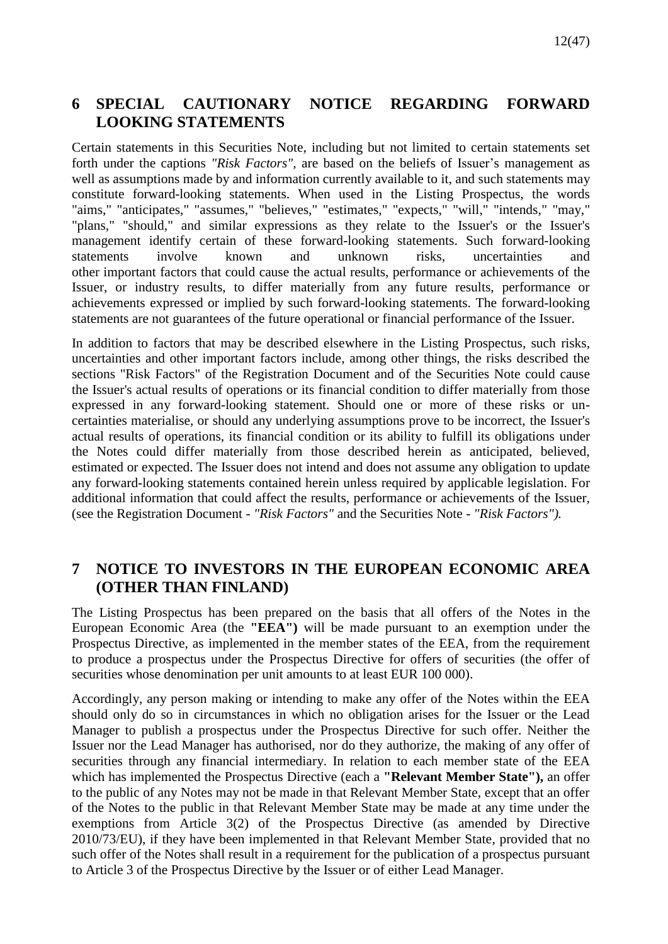# <span id="page-11-0"></span>**6 SPECIAL CAUTIONARY NOTICE REGARDING FORWARD LOOKING STATEMENTS**

Certain statements in this Securities Note, including but not limited to certain statements set forth under the captions *"Risk Factors",* are based on the beliefs of Issuer's management as well as assumptions made by and information currently available to it, and such statements may constitute forward-looking statements. When used in the Listing Prospectus, the words "aims," "anticipates," "assumes," "believes," "estimates," "expects," "will," "intends," "may," "plans," "should," and similar expressions as they relate to the Issuer's or the Issuer's management identify certain of these forward-looking statements. Such forward-looking statements involve known and unknown risks, uncertainties and other important factors that could cause the actual results, performance or achievements of the Issuer, or industry results, to differ materially from any future results, performance or achievements expressed or implied by such forward-looking statements. The forward-looking statements are not guarantees of the future operational or financial performance of the Issuer.

In addition to factors that may be described elsewhere in the Listing Prospectus, such risks, uncertainties and other important factors include, among other things, the risks described the sections "Risk Factors" of the Registration Document and of the Securities Note could cause the Issuer's actual results of operations or its financial condition to differ materially from those expressed in any forward-looking statement. Should one or more of these risks or uncertainties materialise, or should any underlying assumptions prove to be incorrect, the Issuer's actual results of operations, its financial condition or its ability to fulfill its obligations under the Notes could differ materially from those described herein as anticipated, believed, estimated or expected. The Issuer does not intend and does not assume any obligation to update any forward-looking statements contained herein unless required by applicable legislation. For additional information that could affect the results, performance or achievements of the Issuer, (see the Registration Document - *"Risk Factors"* and the Securities Note - *"Risk Factors").*

# <span id="page-11-1"></span>**7 NOTICE TO INVESTORS IN THE EUROPEAN ECONOMIC AREA (OTHER THAN FINLAND)**

The Listing Prospectus has been prepared on the basis that all offers of the Notes in the European Economic Area (the **"EEA")** will be made pursuant to an exemption under the Prospectus Directive, as implemented in the member states of the EEA, from the requirement to produce a prospectus under the Prospectus Directive for offers of securities (the offer of securities whose denomination per unit amounts to at least EUR 100 000).

Accordingly, any person making or intending to make any offer of the Notes within the EEA should only do so in circumstances in which no obligation arises for the Issuer or the Lead Manager to publish a prospectus under the Prospectus Directive for such offer. Neither the Issuer nor the Lead Manager has authorised, nor do they authorize, the making of any offer of securities through any financial intermediary. In relation to each member state of the EEA which has implemented the Prospectus Directive (each a **"Relevant Member State"),** an offer to the public of any Notes may not be made in that Relevant Member State, except that an offer of the Notes to the public in that Relevant Member State may be made at any time under the exemptions from Article 3(2) of the Prospectus Directive (as amended by Directive 2010/73/EU), if they have been implemented in that Relevant Member State, provided that no such offer of the Notes shall result in a requirement for the publication of a prospectus pursuant to Article 3 of the Prospectus Directive by the Issuer or of either Lead Manager.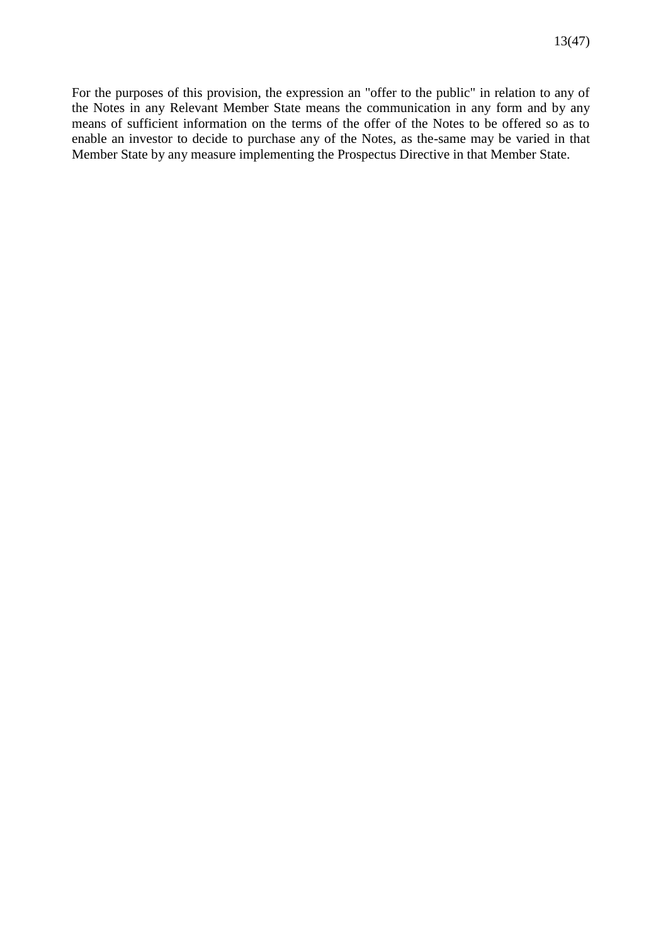For the purposes of this provision, the expression an "offer to the public" in relation to any of the Notes in any Relevant Member State means the communication in any form and by any means of sufficient information on the terms of the offer of the Notes to be offered so as to enable an investor to decide to purchase any of the Notes, as the-same may be varied in that Member State by any measure implementing the Prospectus Directive in that Member State.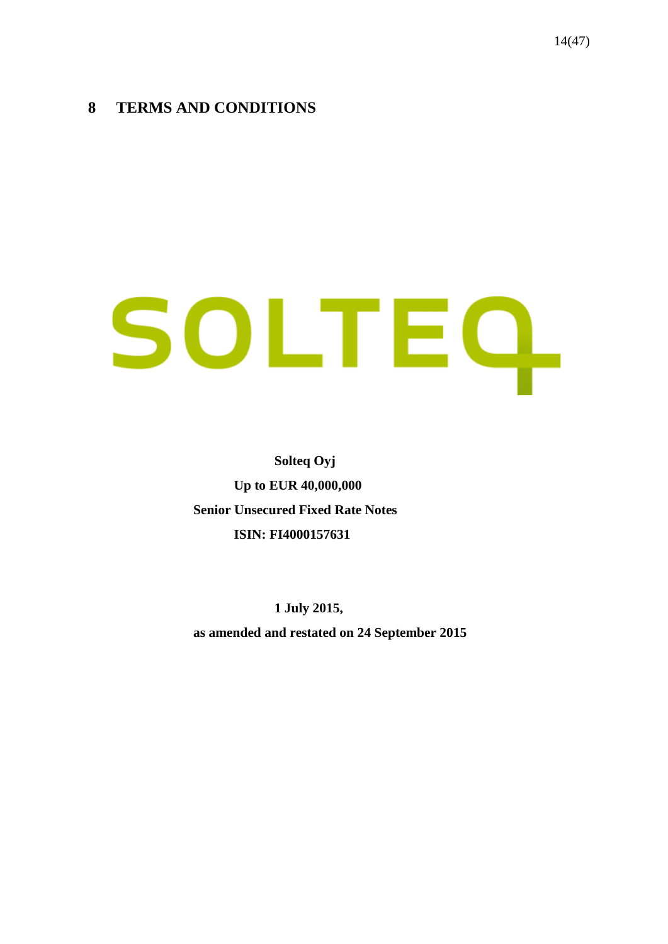# <span id="page-13-0"></span>**8 TERMS AND CONDITIONS**

# SOLTEQ.

**Solteq Oyj Up to EUR 40,000,000 Senior Unsecured Fixed Rate Notes ISIN: FI4000157631**

**1 July 2015, as amended and restated on 24 September 2015**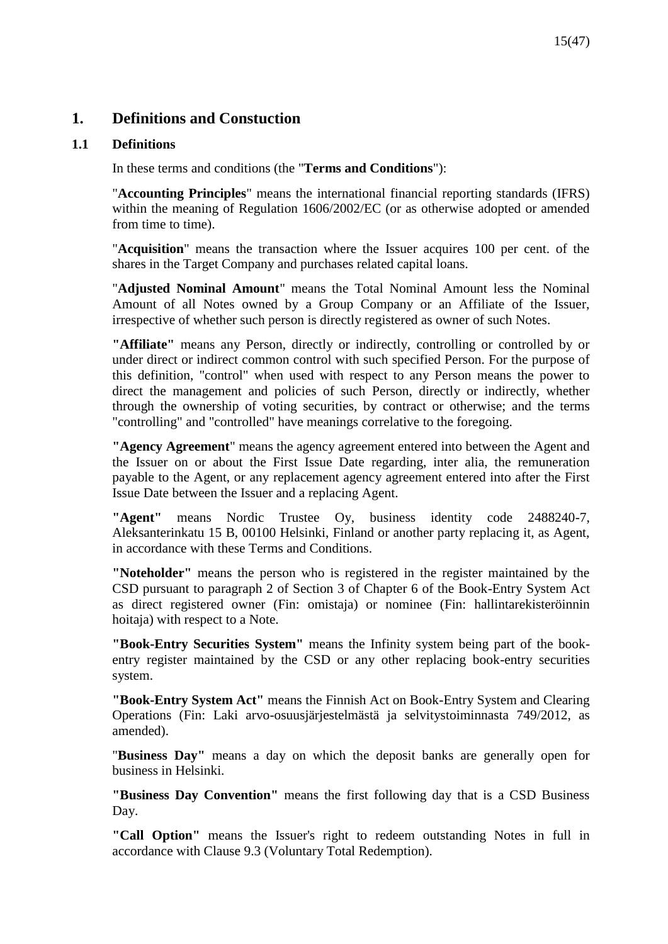# **1. Definitions and Constuction**

# **1.1 Definitions**

In these terms and conditions (the "**Terms and Conditions**"):

"**Accounting Principles**" means the international financial reporting standards (IFRS) within the meaning of Regulation 1606/2002/EC (or as otherwise adopted or amended from time to time).

"**Acquisition**" means the transaction where the Issuer acquires 100 per cent. of the shares in the Target Company and purchases related capital loans.

"**Adjusted Nominal Amount**" means the Total Nominal Amount less the Nominal Amount of all Notes owned by a Group Company or an Affiliate of the Issuer, irrespective of whether such person is directly registered as owner of such Notes.

**"Affiliate"** means any Person, directly or indirectly, controlling or controlled by or under direct or indirect common control with such specified Person. For the purpose of this definition, "control" when used with respect to any Person means the power to direct the management and policies of such Person, directly or indirectly, whether through the ownership of voting securities, by contract or otherwise; and the terms "controlling" and "controlled" have meanings correlative to the foregoing.

**"Agency Agreement**" means the agency agreement entered into between the Agent and the Issuer on or about the First Issue Date regarding, inter alia, the remuneration payable to the Agent, or any replacement agency agreement entered into after the First Issue Date between the Issuer and a replacing Agent.

**"Agent"** means Nordic Trustee Oy, business identity code 2488240-7, Aleksanterinkatu 15 B, 00100 Helsinki, Finland or another party replacing it, as Agent, in accordance with these Terms and Conditions.

**"Noteholder"** means the person who is registered in the register maintained by the CSD pursuant to paragraph 2 of Section 3 of Chapter 6 of the Book-Entry System Act as direct registered owner (Fin: omistaja) or nominee (Fin: hallintarekisteröinnin hoitaja) with respect to a Note.

**"Book-Entry Securities System"** means the Infinity system being part of the bookentry register maintained by the CSD or any other replacing book-entry securities system.

**"Book-Entry System Act"** means the Finnish Act on Book-Entry System and Clearing Operations (Fin: Laki arvo-osuusjärjestelmästä ja selvitystoiminnasta 749/2012, as amended).

"**Business Day"** means a day on which the deposit banks are generally open for business in Helsinki.

**"Business Day Convention"** means the first following day that is a CSD Business Day.

**"Call Option"** means the Issuer's right to redeem outstanding Notes in full in accordance with Clause 9.3 (Voluntary Total Redemption).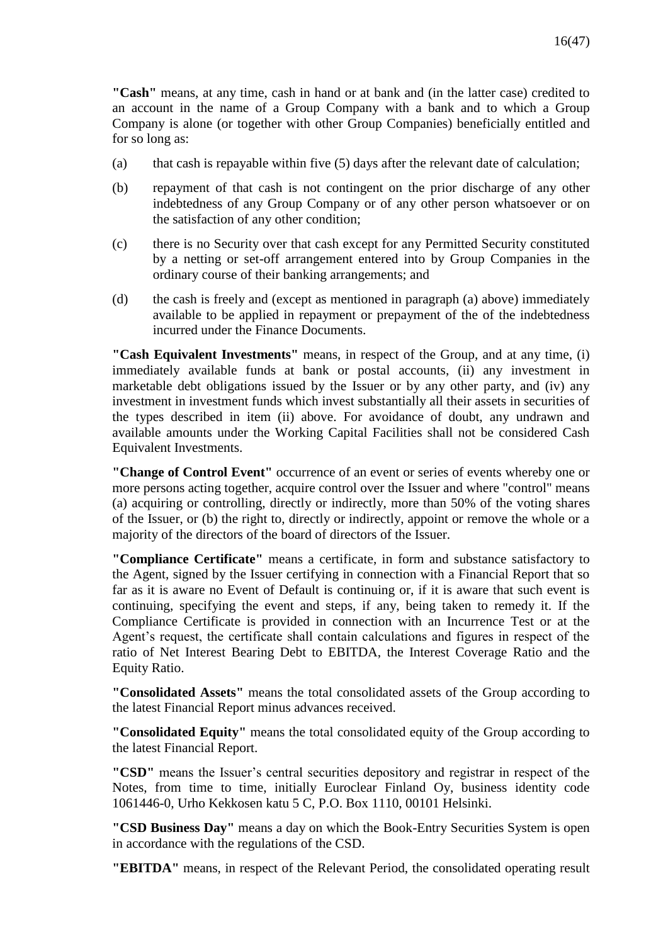**"Cash"** means, at any time, cash in hand or at bank and (in the latter case) credited to an account in the name of a Group Company with a bank and to which a Group Company is alone (or together with other Group Companies) beneficially entitled and for so long as:

- (a) that cash is repayable within five  $(5)$  days after the relevant date of calculation;
- (b) repayment of that cash is not contingent on the prior discharge of any other indebtedness of any Group Company or of any other person whatsoever or on the satisfaction of any other condition;
- (c) there is no Security over that cash except for any Permitted Security constituted by a netting or set-off arrangement entered into by Group Companies in the ordinary course of their banking arrangements; and
- (d) the cash is freely and (except as mentioned in paragraph (a) above) immediately available to be applied in repayment or prepayment of the of the indebtedness incurred under the Finance Documents.

**"Cash Equivalent Investments"** means, in respect of the Group, and at any time, (i) immediately available funds at bank or postal accounts, (ii) any investment in marketable debt obligations issued by the Issuer or by any other party, and (iv) any investment in investment funds which invest substantially all their assets in securities of the types described in item (ii) above. For avoidance of doubt, any undrawn and available amounts under the Working Capital Facilities shall not be considered Cash Equivalent Investments.

**"Change of Control Event"** occurrence of an event or series of events whereby one or more persons acting together, acquire control over the Issuer and where "control" means (a) acquiring or controlling, directly or indirectly, more than 50% of the voting shares of the Issuer, or (b) the right to, directly or indirectly, appoint or remove the whole or a majority of the directors of the board of directors of the Issuer.

**"Compliance Certificate"** means a certificate, in form and substance satisfactory to the Agent, signed by the Issuer certifying in connection with a Financial Report that so far as it is aware no Event of Default is continuing or, if it is aware that such event is continuing, specifying the event and steps, if any, being taken to remedy it. If the Compliance Certificate is provided in connection with an Incurrence Test or at the Agent's request, the certificate shall contain calculations and figures in respect of the ratio of Net Interest Bearing Debt to EBITDA, the Interest Coverage Ratio and the Equity Ratio.

**"Consolidated Assets"** means the total consolidated assets of the Group according to the latest Financial Report minus advances received.

**"Consolidated Equity"** means the total consolidated equity of the Group according to the latest Financial Report.

**"CSD"** means the Issuer's central securities depository and registrar in respect of the Notes, from time to time, initially Euroclear Finland Oy, business identity code 1061446-0, Urho Kekkosen katu 5 C, P.O. Box 1110, 00101 Helsinki.

**"CSD Business Day"** means a day on which the Book-Entry Securities System is open in accordance with the regulations of the CSD.

**"EBITDA"** means, in respect of the Relevant Period, the consolidated operating result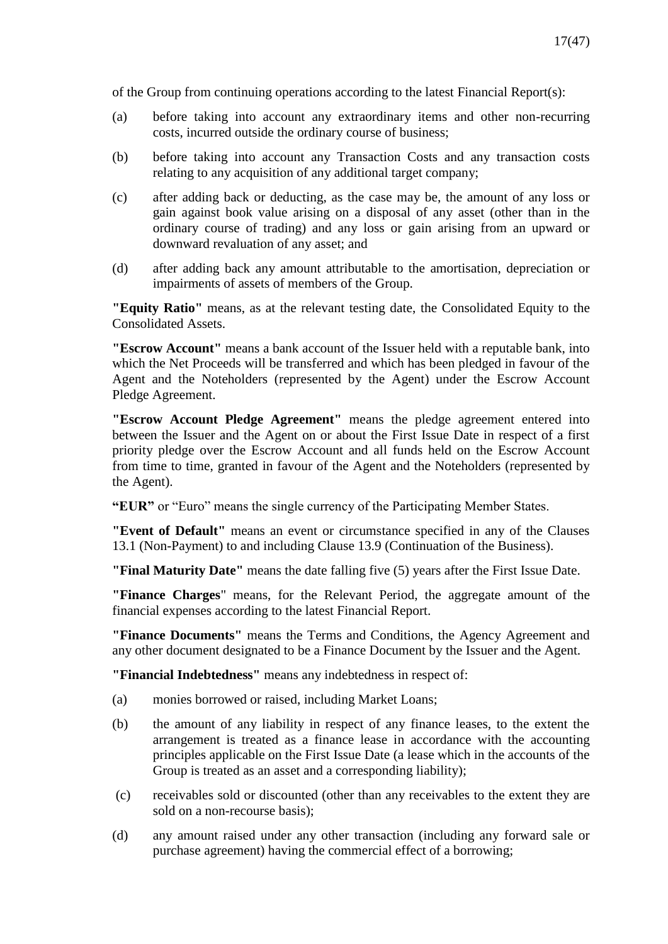of the Group from continuing operations according to the latest Financial Report(s):

- (a) before taking into account any extraordinary items and other non-recurring costs, incurred outside the ordinary course of business;
- (b) before taking into account any Transaction Costs and any transaction costs relating to any acquisition of any additional target company;
- (c) after adding back or deducting, as the case may be, the amount of any loss or gain against book value arising on a disposal of any asset (other than in the ordinary course of trading) and any loss or gain arising from an upward or downward revaluation of any asset; and
- (d) after adding back any amount attributable to the amortisation, depreciation or impairments of assets of members of the Group.

**"Equity Ratio"** means, as at the relevant testing date, the Consolidated Equity to the Consolidated Assets.

**"Escrow Account"** means a bank account of the Issuer held with a reputable bank, into which the Net Proceeds will be transferred and which has been pledged in favour of the Agent and the Noteholders (represented by the Agent) under the Escrow Account Pledge Agreement.

**"Escrow Account Pledge Agreement"** means the pledge agreement entered into between the Issuer and the Agent on or about the First Issue Date in respect of a first priority pledge over the Escrow Account and all funds held on the Escrow Account from time to time, granted in favour of the Agent and the Noteholders (represented by the Agent).

**"EUR"** or "Euro" means the single currency of the Participating Member States.

**"Event of Default"** means an event or circumstance specified in any of the Clauses 13.1 (Non-Payment) to and including Clause 13.9 (Continuation of the Business).

**"Final Maturity Date"** means the date falling five (5) years after the First Issue Date.

**"Finance Charges**" means, for the Relevant Period, the aggregate amount of the financial expenses according to the latest Financial Report.

**"Finance Documents"** means the Terms and Conditions, the Agency Agreement and any other document designated to be a Finance Document by the Issuer and the Agent.

**"Financial Indebtedness"** means any indebtedness in respect of:

- (a) monies borrowed or raised, including Market Loans;
- (b) the amount of any liability in respect of any finance leases, to the extent the arrangement is treated as a finance lease in accordance with the accounting principles applicable on the First Issue Date (a lease which in the accounts of the Group is treated as an asset and a corresponding liability);
- (c) receivables sold or discounted (other than any receivables to the extent they are sold on a non-recourse basis);
- (d) any amount raised under any other transaction (including any forward sale or purchase agreement) having the commercial effect of a borrowing;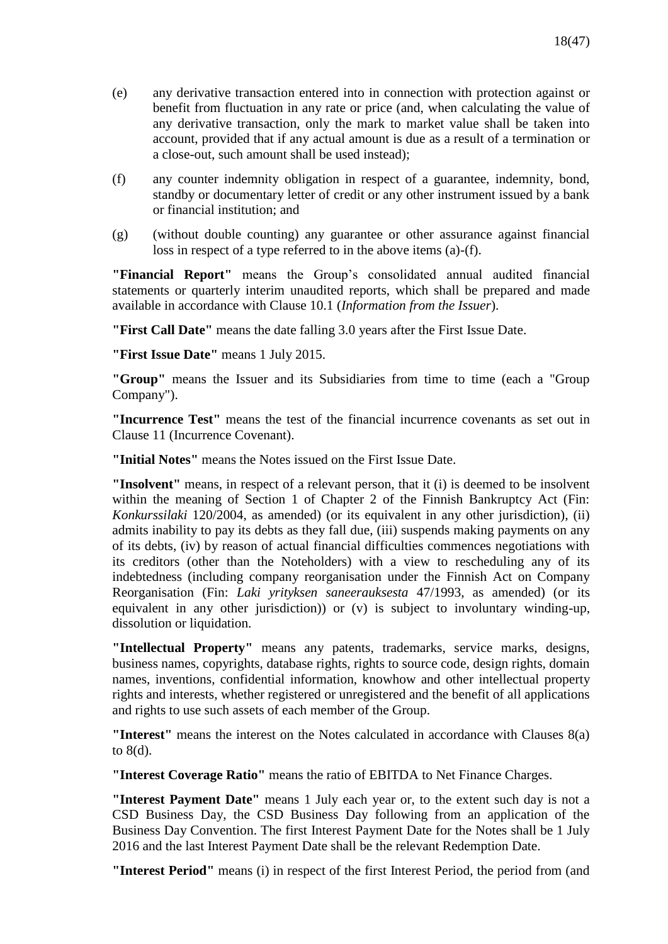- (e) any derivative transaction entered into in connection with protection against or benefit from fluctuation in any rate or price (and, when calculating the value of any derivative transaction, only the mark to market value shall be taken into account, provided that if any actual amount is due as a result of a termination or a close-out, such amount shall be used instead);
- (f) any counter indemnity obligation in respect of a guarantee, indemnity, bond, standby or documentary letter of credit or any other instrument issued by a bank or financial institution; and
- (g) (without double counting) any guarantee or other assurance against financial loss in respect of a type referred to in the above items (a)-(f).

**"Financial Report"** means the Group's consolidated annual audited financial statements or quarterly interim unaudited reports, which shall be prepared and made available in accordance with Clause 10.1 (*Information from the Issuer*).

**"First Call Date"** means the date falling 3.0 years after the First Issue Date.

**"First Issue Date"** means 1 July 2015.

**"Group"** means the Issuer and its Subsidiaries from time to time (each a "Group Company").

**"Incurrence Test"** means the test of the financial incurrence covenants as set out in Clause 11 (Incurrence Covenant).

**"Initial Notes"** means the Notes issued on the First Issue Date.

**"Insolvent"** means, in respect of a relevant person, that it (i) is deemed to be insolvent within the meaning of Section 1 of Chapter 2 of the Finnish Bankruptcy Act (Fin: *Konkurssilaki* 120/2004, as amended) (or its equivalent in any other jurisdiction), (ii) admits inability to pay its debts as they fall due, (iii) suspends making payments on any of its debts, (iv) by reason of actual financial difficulties commences negotiations with its creditors (other than the Noteholders) with a view to rescheduling any of its indebtedness (including company reorganisation under the Finnish Act on Company Reorganisation (Fin: *Laki yrityksen saneerauksesta* 47/1993, as amended) (or its equivalent in any other jurisdiction)) or (v) is subject to involuntary winding-up, dissolution or liquidation.

**"Intellectual Property"** means any patents, trademarks, service marks, designs, business names, copyrights, database rights, rights to source code, design rights, domain names, inventions, confidential information, knowhow and other intellectual property rights and interests, whether registered or unregistered and the benefit of all applications and rights to use such assets of each member of the Group.

**"Interest"** means the interest on the Notes calculated in accordance with Clauses 8(a) to 8(d).

**"Interest Coverage Ratio"** means the ratio of EBITDA to Net Finance Charges.

**"Interest Payment Date"** means 1 July each year or, to the extent such day is not a CSD Business Day, the CSD Business Day following from an application of the Business Day Convention. The first Interest Payment Date for the Notes shall be 1 July 2016 and the last Interest Payment Date shall be the relevant Redemption Date.

**"Interest Period"** means (i) in respect of the first Interest Period, the period from (and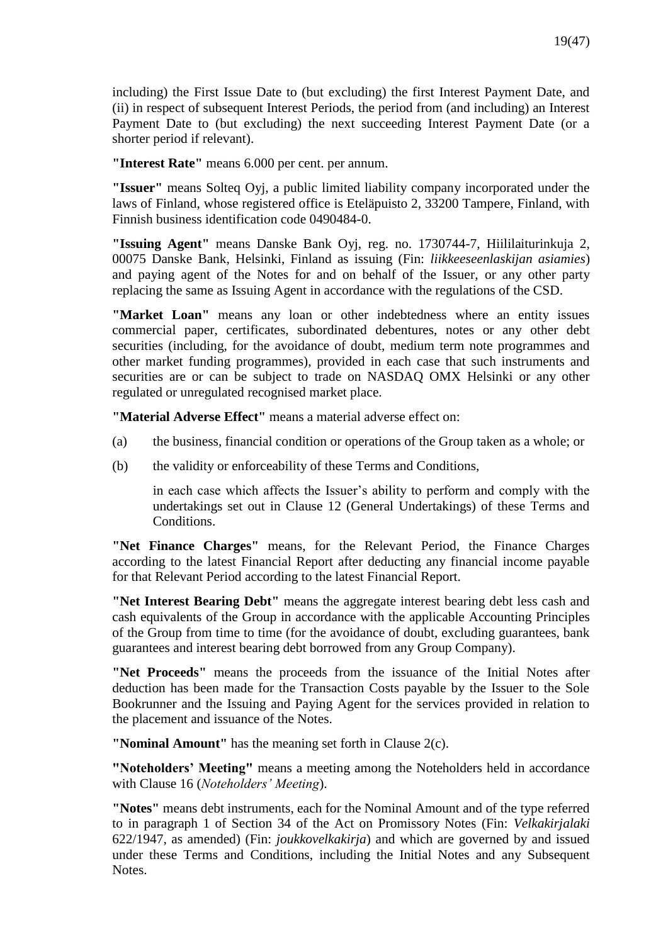including) the First Issue Date to (but excluding) the first Interest Payment Date, and (ii) in respect of subsequent Interest Periods, the period from (and including) an Interest Payment Date to (but excluding) the next succeeding Interest Payment Date (or a shorter period if relevant).

**"Interest Rate"** means 6.000 per cent. per annum.

**"Issuer"** means Solteq Oyj, a public limited liability company incorporated under the laws of Finland, whose registered office is Eteläpuisto 2, 33200 Tampere, Finland, with Finnish business identification code 0490484-0.

**"Issuing Agent"** means Danske Bank Oyj, reg. no. 1730744-7, Hiililaiturinkuja 2, 00075 Danske Bank, Helsinki, Finland as issuing (Fin: *liikkeeseenlaskijan asiamies*) and paying agent of the Notes for and on behalf of the Issuer, or any other party replacing the same as Issuing Agent in accordance with the regulations of the CSD.

**"Market Loan"** means any loan or other indebtedness where an entity issues commercial paper, certificates, subordinated debentures, notes or any other debt securities (including, for the avoidance of doubt, medium term note programmes and other market funding programmes), provided in each case that such instruments and securities are or can be subject to trade on NASDAQ OMX Helsinki or any other regulated or unregulated recognised market place.

**"Material Adverse Effect"** means a material adverse effect on:

- (a) the business, financial condition or operations of the Group taken as a whole; or
- (b) the validity or enforceability of these Terms and Conditions,

in each case which affects the Issuer's ability to perform and comply with the undertakings set out in Clause 12 (General Undertakings) of these Terms and Conditions.

**"Net Finance Charges"** means, for the Relevant Period, the Finance Charges according to the latest Financial Report after deducting any financial income payable for that Relevant Period according to the latest Financial Report.

**"Net Interest Bearing Debt"** means the aggregate interest bearing debt less cash and cash equivalents of the Group in accordance with the applicable Accounting Principles of the Group from time to time (for the avoidance of doubt, excluding guarantees, bank guarantees and interest bearing debt borrowed from any Group Company).

**"Net Proceeds"** means the proceeds from the issuance of the Initial Notes after deduction has been made for the Transaction Costs payable by the Issuer to the Sole Bookrunner and the Issuing and Paying Agent for the services provided in relation to the placement and issuance of the Notes.

**"Nominal Amount"** has the meaning set forth in Clause 2(c).

**"Noteholders' Meeting"** means a meeting among the Noteholders held in accordance with Clause 16 (*Noteholders' Meeting*).

**"Notes"** means debt instruments, each for the Nominal Amount and of the type referred to in paragraph 1 of Section 34 of the Act on Promissory Notes (Fin: *Velkakirjalaki* 622/1947, as amended) (Fin: *joukkovelkakirja*) and which are governed by and issued under these Terms and Conditions, including the Initial Notes and any Subsequent Notes.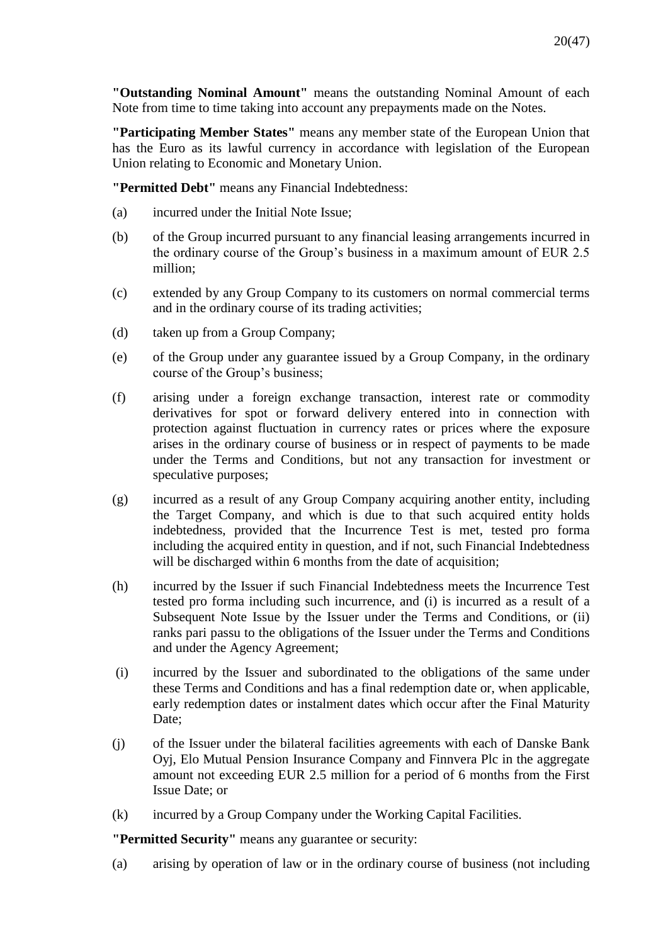**"Outstanding Nominal Amount"** means the outstanding Nominal Amount of each Note from time to time taking into account any prepayments made on the Notes.

**"Participating Member States"** means any member state of the European Union that has the Euro as its lawful currency in accordance with legislation of the European Union relating to Economic and Monetary Union.

**"Permitted Debt"** means any Financial Indebtedness:

- (a) incurred under the Initial Note Issue;
- (b) of the Group incurred pursuant to any financial leasing arrangements incurred in the ordinary course of the Group's business in a maximum amount of EUR 2.5 million;
- (c) extended by any Group Company to its customers on normal commercial terms and in the ordinary course of its trading activities;
- (d) taken up from a Group Company;
- (e) of the Group under any guarantee issued by a Group Company, in the ordinary course of the Group's business;
- (f) arising under a foreign exchange transaction, interest rate or commodity derivatives for spot or forward delivery entered into in connection with protection against fluctuation in currency rates or prices where the exposure arises in the ordinary course of business or in respect of payments to be made under the Terms and Conditions, but not any transaction for investment or speculative purposes;
- (g) incurred as a result of any Group Company acquiring another entity, including the Target Company, and which is due to that such acquired entity holds indebtedness, provided that the Incurrence Test is met, tested pro forma including the acquired entity in question, and if not, such Financial Indebtedness will be discharged within 6 months from the date of acquisition;
- (h) incurred by the Issuer if such Financial Indebtedness meets the Incurrence Test tested pro forma including such incurrence, and (i) is incurred as a result of a Subsequent Note Issue by the Issuer under the Terms and Conditions, or (ii) ranks pari passu to the obligations of the Issuer under the Terms and Conditions and under the Agency Agreement;
- (i) incurred by the Issuer and subordinated to the obligations of the same under these Terms and Conditions and has a final redemption date or, when applicable, early redemption dates or instalment dates which occur after the Final Maturity Date;
- (j) of the Issuer under the bilateral facilities agreements with each of Danske Bank Oyj, Elo Mutual Pension Insurance Company and Finnvera Plc in the aggregate amount not exceeding EUR 2.5 million for a period of 6 months from the First Issue Date; or
- (k) incurred by a Group Company under the Working Capital Facilities.

**"Permitted Security"** means any guarantee or security:

(a) arising by operation of law or in the ordinary course of business (not including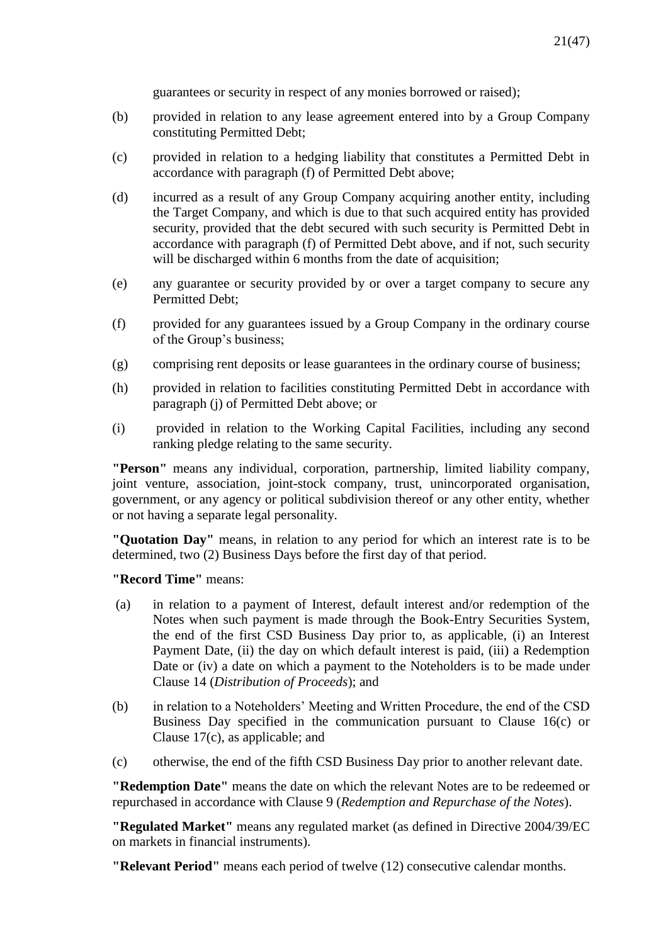guarantees or security in respect of any monies borrowed or raised);

- (b) provided in relation to any lease agreement entered into by a Group Company constituting Permitted Debt;
- (c) provided in relation to a hedging liability that constitutes a Permitted Debt in accordance with paragraph (f) of Permitted Debt above;
- (d) incurred as a result of any Group Company acquiring another entity, including the Target Company, and which is due to that such acquired entity has provided security, provided that the debt secured with such security is Permitted Debt in accordance with paragraph (f) of Permitted Debt above, and if not, such security will be discharged within 6 months from the date of acquisition;
- (e) any guarantee or security provided by or over a target company to secure any Permitted Debt;
- (f) provided for any guarantees issued by a Group Company in the ordinary course of the Group's business;
- (g) comprising rent deposits or lease guarantees in the ordinary course of business;
- (h) provided in relation to facilities constituting Permitted Debt in accordance with paragraph (j) of Permitted Debt above; or
- (i) provided in relation to the Working Capital Facilities, including any second ranking pledge relating to the same security.

**"Person"** means any individual, corporation, partnership, limited liability company, joint venture, association, joint-stock company, trust, unincorporated organisation, government, or any agency or political subdivision thereof or any other entity, whether or not having a separate legal personality.

**"Quotation Day"** means, in relation to any period for which an interest rate is to be determined, two (2) Business Days before the first day of that period.

### **"Record Time"** means:

- (a) in relation to a payment of Interest, default interest and/or redemption of the Notes when such payment is made through the Book-Entry Securities System, the end of the first CSD Business Day prior to, as applicable, (i) an Interest Payment Date, (ii) the day on which default interest is paid, (iii) a Redemption Date or (iv) a date on which a payment to the Noteholders is to be made under Clause 14 (*Distribution of Proceeds*); and
- (b) in relation to a Noteholders' Meeting and Written Procedure, the end of the CSD Business Day specified in the communication pursuant to Clause 16(c) or Clause 17(c), as applicable; and
- (c) otherwise, the end of the fifth CSD Business Day prior to another relevant date.

**"Redemption Date"** means the date on which the relevant Notes are to be redeemed or repurchased in accordance with Clause 9 (*Redemption and Repurchase of the Notes*).

**"Regulated Market"** means any regulated market (as defined in Directive 2004/39/EC on markets in financial instruments).

**"Relevant Period"** means each period of twelve (12) consecutive calendar months.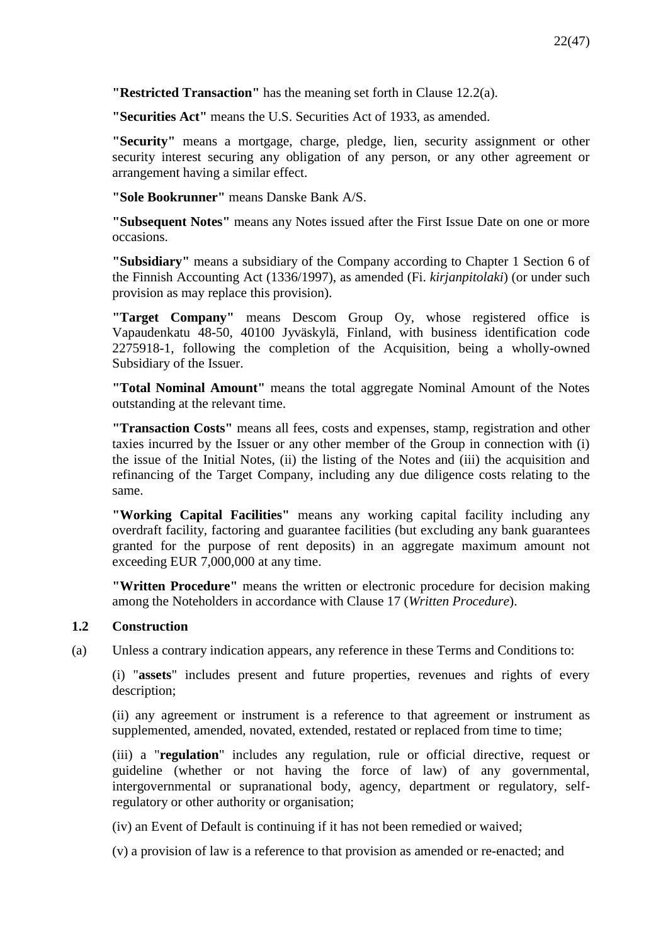**"Restricted Transaction"** has the meaning set forth in Clause 12.2(a).

**"Securities Act"** means the U.S. Securities Act of 1933, as amended.

**"Security"** means a mortgage, charge, pledge, lien, security assignment or other security interest securing any obligation of any person, or any other agreement or arrangement having a similar effect.

**"Sole Bookrunner"** means Danske Bank A/S.

**"Subsequent Notes"** means any Notes issued after the First Issue Date on one or more occasions.

**"Subsidiary"** means a subsidiary of the Company according to Chapter 1 Section 6 of the Finnish Accounting Act (1336/1997), as amended (Fi. *kirjanpitolaki*) (or under such provision as may replace this provision).

**"Target Company"** means Descom Group Oy, whose registered office is Vapaudenkatu 48-50, 40100 Jyväskylä, Finland, with business identification code 2275918-1, following the completion of the Acquisition, being a wholly-owned Subsidiary of the Issuer.

**"Total Nominal Amount"** means the total aggregate Nominal Amount of the Notes outstanding at the relevant time.

**"Transaction Costs"** means all fees, costs and expenses, stamp, registration and other taxies incurred by the Issuer or any other member of the Group in connection with (i) the issue of the Initial Notes, (ii) the listing of the Notes and (iii) the acquisition and refinancing of the Target Company, including any due diligence costs relating to the same.

**"Working Capital Facilities"** means any working capital facility including any overdraft facility, factoring and guarantee facilities (but excluding any bank guarantees granted for the purpose of rent deposits) in an aggregate maximum amount not exceeding EUR 7,000,000 at any time.

**"Written Procedure"** means the written or electronic procedure for decision making among the Noteholders in accordance with Clause 17 (*Written Procedure*).

# **1.2 Construction**

(a) Unless a contrary indication appears, any reference in these Terms and Conditions to:

(i) "**assets**" includes present and future properties, revenues and rights of every description;

(ii) any agreement or instrument is a reference to that agreement or instrument as supplemented, amended, novated, extended, restated or replaced from time to time;

(iii) a "**regulation**" includes any regulation, rule or official directive, request or guideline (whether or not having the force of law) of any governmental, intergovernmental or supranational body, agency, department or regulatory, selfregulatory or other authority or organisation;

(iv) an Event of Default is continuing if it has not been remedied or waived;

(v) a provision of law is a reference to that provision as amended or re-enacted; and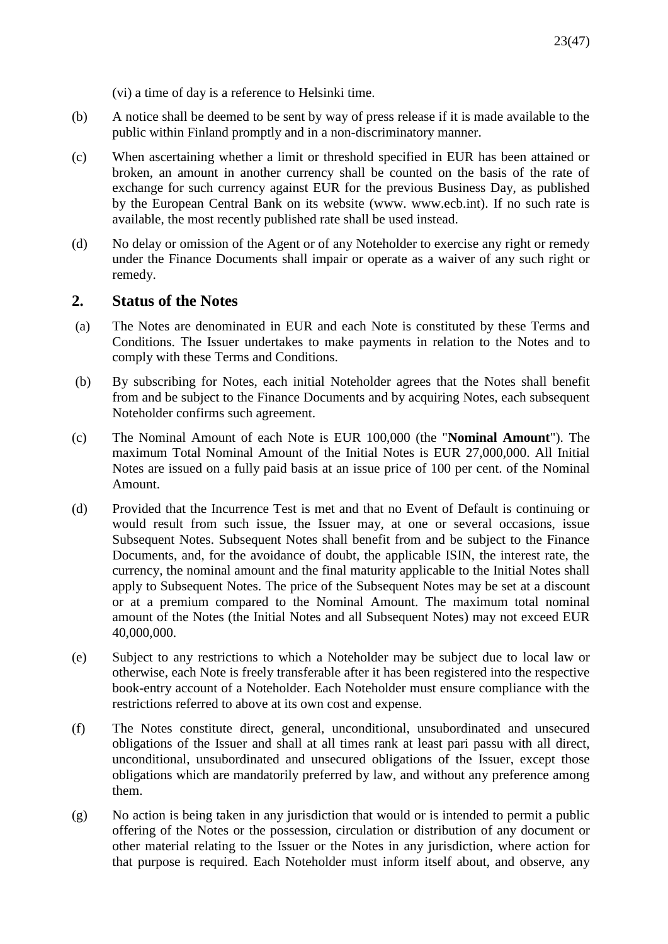- (vi) a time of day is a reference to Helsinki time.
- (b) A notice shall be deemed to be sent by way of press release if it is made available to the public within Finland promptly and in a non-discriminatory manner.
- (c) When ascertaining whether a limit or threshold specified in EUR has been attained or broken, an amount in another currency shall be counted on the basis of the rate of exchange for such currency against EUR for the previous Business Day, as published by the European Central Bank on its website (www. www.ecb.int). If no such rate is available, the most recently published rate shall be used instead.
- (d) No delay or omission of the Agent or of any Noteholder to exercise any right or remedy under the Finance Documents shall impair or operate as a waiver of any such right or remedy.

# **2. Status of the Notes**

- (a) The Notes are denominated in EUR and each Note is constituted by these Terms and Conditions. The Issuer undertakes to make payments in relation to the Notes and to comply with these Terms and Conditions.
- (b) By subscribing for Notes, each initial Noteholder agrees that the Notes shall benefit from and be subject to the Finance Documents and by acquiring Notes, each subsequent Noteholder confirms such agreement.
- (c) The Nominal Amount of each Note is EUR 100,000 (the "**Nominal Amount**"). The maximum Total Nominal Amount of the Initial Notes is EUR 27,000,000. All Initial Notes are issued on a fully paid basis at an issue price of 100 per cent. of the Nominal Amount.
- (d) Provided that the Incurrence Test is met and that no Event of Default is continuing or would result from such issue, the Issuer may, at one or several occasions, issue Subsequent Notes. Subsequent Notes shall benefit from and be subject to the Finance Documents, and, for the avoidance of doubt, the applicable ISIN, the interest rate, the currency, the nominal amount and the final maturity applicable to the Initial Notes shall apply to Subsequent Notes. The price of the Subsequent Notes may be set at a discount or at a premium compared to the Nominal Amount. The maximum total nominal amount of the Notes (the Initial Notes and all Subsequent Notes) may not exceed EUR 40,000,000.
- (e) Subject to any restrictions to which a Noteholder may be subject due to local law or otherwise, each Note is freely transferable after it has been registered into the respective book-entry account of a Noteholder. Each Noteholder must ensure compliance with the restrictions referred to above at its own cost and expense.
- (f) The Notes constitute direct, general, unconditional, unsubordinated and unsecured obligations of the Issuer and shall at all times rank at least pari passu with all direct, unconditional, unsubordinated and unsecured obligations of the Issuer, except those obligations which are mandatorily preferred by law, and without any preference among them.
- (g) No action is being taken in any jurisdiction that would or is intended to permit a public offering of the Notes or the possession, circulation or distribution of any document or other material relating to the Issuer or the Notes in any jurisdiction, where action for that purpose is required. Each Noteholder must inform itself about, and observe, any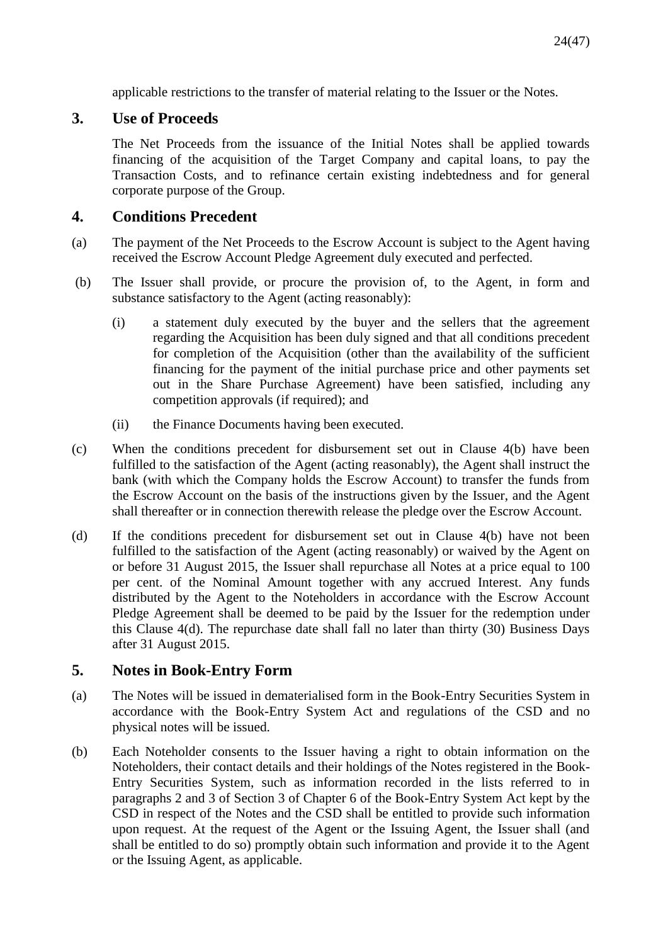applicable restrictions to the transfer of material relating to the Issuer or the Notes.

# **3. Use of Proceeds**

The Net Proceeds from the issuance of the Initial Notes shall be applied towards financing of the acquisition of the Target Company and capital loans, to pay the Transaction Costs, and to refinance certain existing indebtedness and for general corporate purpose of the Group.

# **4. Conditions Precedent**

- (a) The payment of the Net Proceeds to the Escrow Account is subject to the Agent having received the Escrow Account Pledge Agreement duly executed and perfected.
- (b) The Issuer shall provide, or procure the provision of, to the Agent, in form and substance satisfactory to the Agent (acting reasonably):
	- (i) a statement duly executed by the buyer and the sellers that the agreement regarding the Acquisition has been duly signed and that all conditions precedent for completion of the Acquisition (other than the availability of the sufficient financing for the payment of the initial purchase price and other payments set out in the Share Purchase Agreement) have been satisfied, including any competition approvals (if required); and
	- (ii) the Finance Documents having been executed.
- (c) When the conditions precedent for disbursement set out in Clause 4(b) have been fulfilled to the satisfaction of the Agent (acting reasonably), the Agent shall instruct the bank (with which the Company holds the Escrow Account) to transfer the funds from the Escrow Account on the basis of the instructions given by the Issuer, and the Agent shall thereafter or in connection therewith release the pledge over the Escrow Account.
- (d) If the conditions precedent for disbursement set out in Clause 4(b) have not been fulfilled to the satisfaction of the Agent (acting reasonably) or waived by the Agent on or before 31 August 2015, the Issuer shall repurchase all Notes at a price equal to 100 per cent. of the Nominal Amount together with any accrued Interest. Any funds distributed by the Agent to the Noteholders in accordance with the Escrow Account Pledge Agreement shall be deemed to be paid by the Issuer for the redemption under this Clause 4(d). The repurchase date shall fall no later than thirty (30) Business Days after 31 August 2015.

# **5. Notes in Book-Entry Form**

- (a) The Notes will be issued in dematerialised form in the Book-Entry Securities System in accordance with the Book-Entry System Act and regulations of the CSD and no physical notes will be issued.
- (b) Each Noteholder consents to the Issuer having a right to obtain information on the Noteholders, their contact details and their holdings of the Notes registered in the Book-Entry Securities System, such as information recorded in the lists referred to in paragraphs 2 and 3 of Section 3 of Chapter 6 of the Book-Entry System Act kept by the CSD in respect of the Notes and the CSD shall be entitled to provide such information upon request. At the request of the Agent or the Issuing Agent, the Issuer shall (and shall be entitled to do so) promptly obtain such information and provide it to the Agent or the Issuing Agent, as applicable.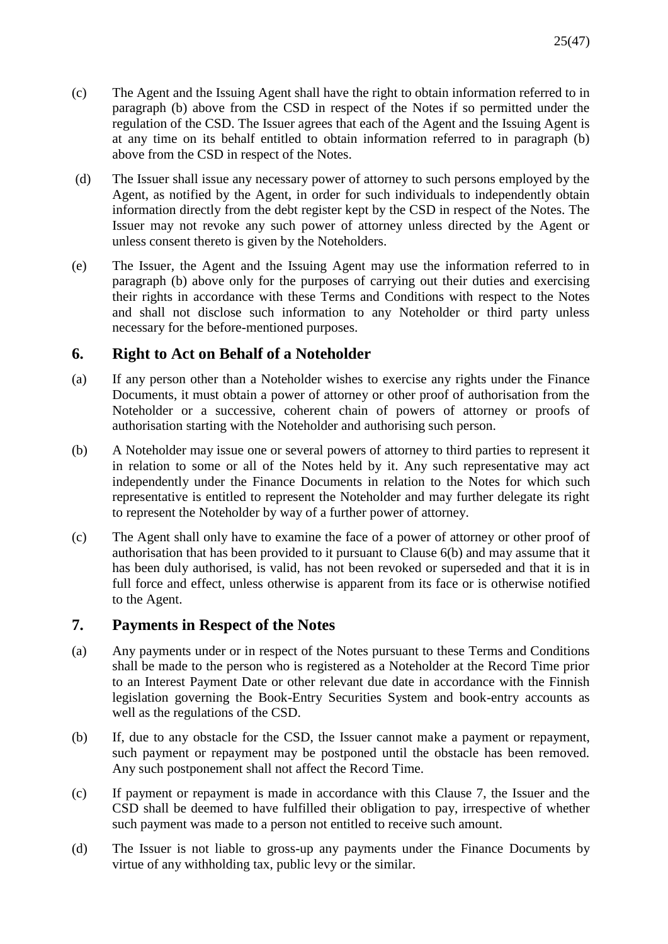- (c) The Agent and the Issuing Agent shall have the right to obtain information referred to in paragraph (b) above from the CSD in respect of the Notes if so permitted under the regulation of the CSD. The Issuer agrees that each of the Agent and the Issuing Agent is at any time on its behalf entitled to obtain information referred to in paragraph (b) above from the CSD in respect of the Notes.
- (d) The Issuer shall issue any necessary power of attorney to such persons employed by the Agent, as notified by the Agent, in order for such individuals to independently obtain information directly from the debt register kept by the CSD in respect of the Notes. The Issuer may not revoke any such power of attorney unless directed by the Agent or unless consent thereto is given by the Noteholders.
- (e) The Issuer, the Agent and the Issuing Agent may use the information referred to in paragraph (b) above only for the purposes of carrying out their duties and exercising their rights in accordance with these Terms and Conditions with respect to the Notes and shall not disclose such information to any Noteholder or third party unless necessary for the before-mentioned purposes.

# **6. Right to Act on Behalf of a Noteholder**

- (a) If any person other than a Noteholder wishes to exercise any rights under the Finance Documents, it must obtain a power of attorney or other proof of authorisation from the Noteholder or a successive, coherent chain of powers of attorney or proofs of authorisation starting with the Noteholder and authorising such person.
- (b) A Noteholder may issue one or several powers of attorney to third parties to represent it in relation to some or all of the Notes held by it. Any such representative may act independently under the Finance Documents in relation to the Notes for which such representative is entitled to represent the Noteholder and may further delegate its right to represent the Noteholder by way of a further power of attorney.
- (c) The Agent shall only have to examine the face of a power of attorney or other proof of authorisation that has been provided to it pursuant to Clause 6(b) and may assume that it has been duly authorised, is valid, has not been revoked or superseded and that it is in full force and effect, unless otherwise is apparent from its face or is otherwise notified to the Agent.

# **7. Payments in Respect of the Notes**

- (a) Any payments under or in respect of the Notes pursuant to these Terms and Conditions shall be made to the person who is registered as a Noteholder at the Record Time prior to an Interest Payment Date or other relevant due date in accordance with the Finnish legislation governing the Book-Entry Securities System and book-entry accounts as well as the regulations of the CSD.
- (b) If, due to any obstacle for the CSD, the Issuer cannot make a payment or repayment, such payment or repayment may be postponed until the obstacle has been removed. Any such postponement shall not affect the Record Time.
- (c) If payment or repayment is made in accordance with this Clause 7, the Issuer and the CSD shall be deemed to have fulfilled their obligation to pay, irrespective of whether such payment was made to a person not entitled to receive such amount.
- (d) The Issuer is not liable to gross-up any payments under the Finance Documents by virtue of any withholding tax, public levy or the similar.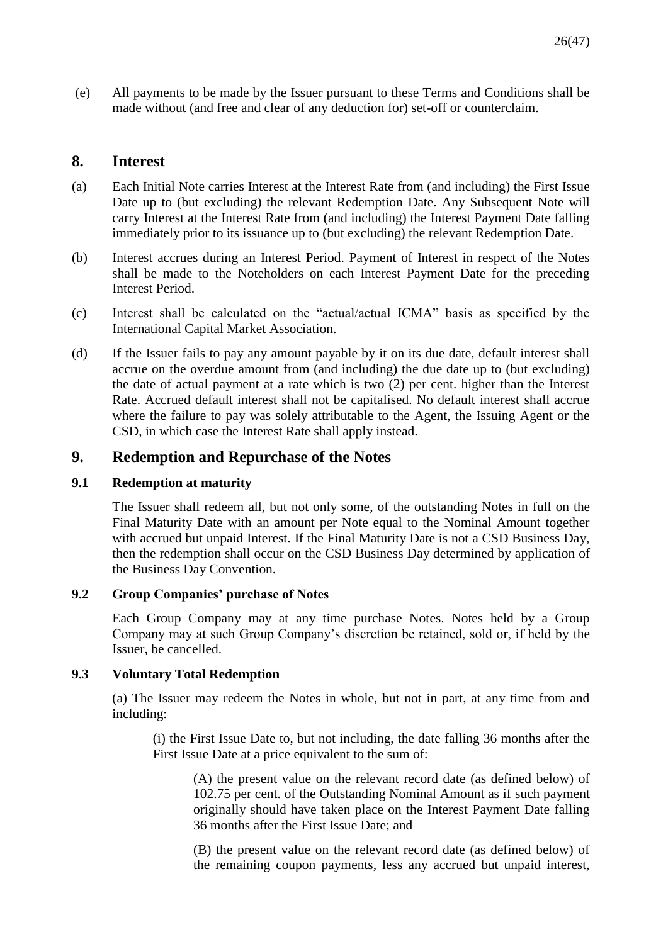(e) All payments to be made by the Issuer pursuant to these Terms and Conditions shall be made without (and free and clear of any deduction for) set-off or counterclaim.

# **8. Interest**

- (a) Each Initial Note carries Interest at the Interest Rate from (and including) the First Issue Date up to (but excluding) the relevant Redemption Date. Any Subsequent Note will carry Interest at the Interest Rate from (and including) the Interest Payment Date falling immediately prior to its issuance up to (but excluding) the relevant Redemption Date.
- (b) Interest accrues during an Interest Period. Payment of Interest in respect of the Notes shall be made to the Noteholders on each Interest Payment Date for the preceding Interest Period.
- (c) Interest shall be calculated on the "actual/actual ICMA" basis as specified by the International Capital Market Association.
- (d) If the Issuer fails to pay any amount payable by it on its due date, default interest shall accrue on the overdue amount from (and including) the due date up to (but excluding) the date of actual payment at a rate which is two (2) per cent. higher than the Interest Rate. Accrued default interest shall not be capitalised. No default interest shall accrue where the failure to pay was solely attributable to the Agent, the Issuing Agent or the CSD, in which case the Interest Rate shall apply instead.

# **9. Redemption and Repurchase of the Notes**

# **9.1 Redemption at maturity**

The Issuer shall redeem all, but not only some, of the outstanding Notes in full on the Final Maturity Date with an amount per Note equal to the Nominal Amount together with accrued but unpaid Interest. If the Final Maturity Date is not a CSD Business Day, then the redemption shall occur on the CSD Business Day determined by application of the Business Day Convention.

# **9.2 Group Companies' purchase of Notes**

Each Group Company may at any time purchase Notes. Notes held by a Group Company may at such Group Company's discretion be retained, sold or, if held by the Issuer, be cancelled.

# **9.3 Voluntary Total Redemption**

(a) The Issuer may redeem the Notes in whole, but not in part, at any time from and including:

(i) the First Issue Date to, but not including, the date falling 36 months after the First Issue Date at a price equivalent to the sum of:

(A) the present value on the relevant record date (as defined below) of 102.75 per cent. of the Outstanding Nominal Amount as if such payment originally should have taken place on the Interest Payment Date falling 36 months after the First Issue Date; and

(B) the present value on the relevant record date (as defined below) of the remaining coupon payments, less any accrued but unpaid interest,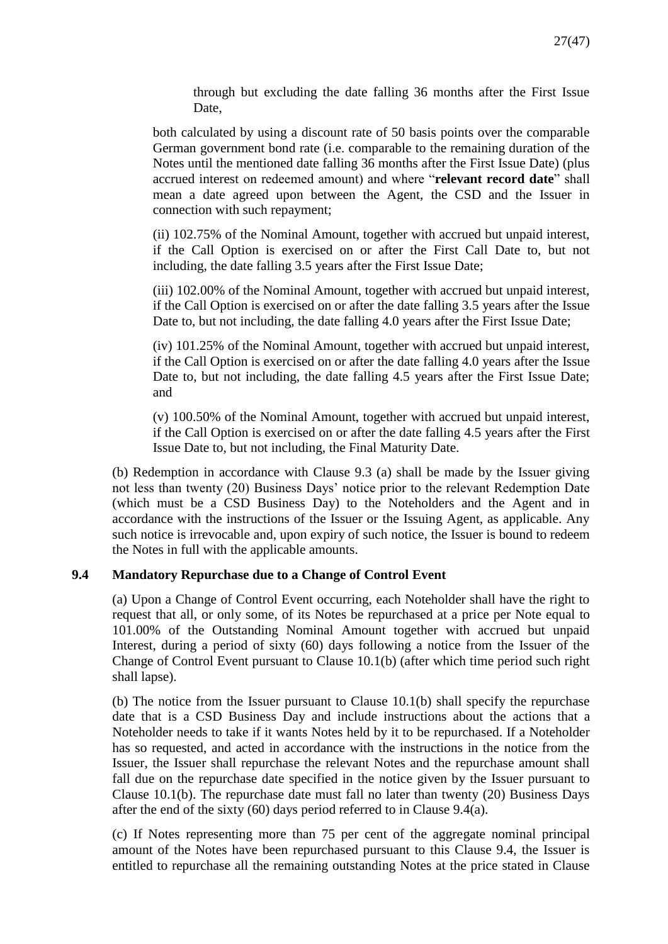through but excluding the date falling 36 months after the First Issue Date,

both calculated by using a discount rate of 50 basis points over the comparable German government bond rate (i.e. comparable to the remaining duration of the Notes until the mentioned date falling 36 months after the First Issue Date) (plus accrued interest on redeemed amount) and where "**relevant record date**" shall mean a date agreed upon between the Agent, the CSD and the Issuer in connection with such repayment;

(ii) 102.75% of the Nominal Amount, together with accrued but unpaid interest, if the Call Option is exercised on or after the First Call Date to, but not including, the date falling 3.5 years after the First Issue Date;

(iii) 102.00% of the Nominal Amount, together with accrued but unpaid interest, if the Call Option is exercised on or after the date falling 3.5 years after the Issue Date to, but not including, the date falling 4.0 years after the First Issue Date;

(iv) 101.25% of the Nominal Amount, together with accrued but unpaid interest, if the Call Option is exercised on or after the date falling 4.0 years after the Issue Date to, but not including, the date falling 4.5 years after the First Issue Date; and

(v) 100.50% of the Nominal Amount, together with accrued but unpaid interest, if the Call Option is exercised on or after the date falling 4.5 years after the First Issue Date to, but not including, the Final Maturity Date.

(b) Redemption in accordance with Clause 9.3 (a) shall be made by the Issuer giving not less than twenty (20) Business Days' notice prior to the relevant Redemption Date (which must be a CSD Business Day) to the Noteholders and the Agent and in accordance with the instructions of the Issuer or the Issuing Agent, as applicable. Any such notice is irrevocable and, upon expiry of such notice, the Issuer is bound to redeem the Notes in full with the applicable amounts.

### **9.4 Mandatory Repurchase due to a Change of Control Event**

(a) Upon a Change of Control Event occurring, each Noteholder shall have the right to request that all, or only some, of its Notes be repurchased at a price per Note equal to 101.00% of the Outstanding Nominal Amount together with accrued but unpaid Interest, during a period of sixty (60) days following a notice from the Issuer of the Change of Control Event pursuant to Clause 10.1(b) (after which time period such right shall lapse).

(b) The notice from the Issuer pursuant to Clause 10.1(b) shall specify the repurchase date that is a CSD Business Day and include instructions about the actions that a Noteholder needs to take if it wants Notes held by it to be repurchased. If a Noteholder has so requested, and acted in accordance with the instructions in the notice from the Issuer, the Issuer shall repurchase the relevant Notes and the repurchase amount shall fall due on the repurchase date specified in the notice given by the Issuer pursuant to Clause 10.1(b). The repurchase date must fall no later than twenty (20) Business Days after the end of the sixty (60) days period referred to in Clause 9.4(a).

(c) If Notes representing more than 75 per cent of the aggregate nominal principal amount of the Notes have been repurchased pursuant to this Clause 9.4, the Issuer is entitled to repurchase all the remaining outstanding Notes at the price stated in Clause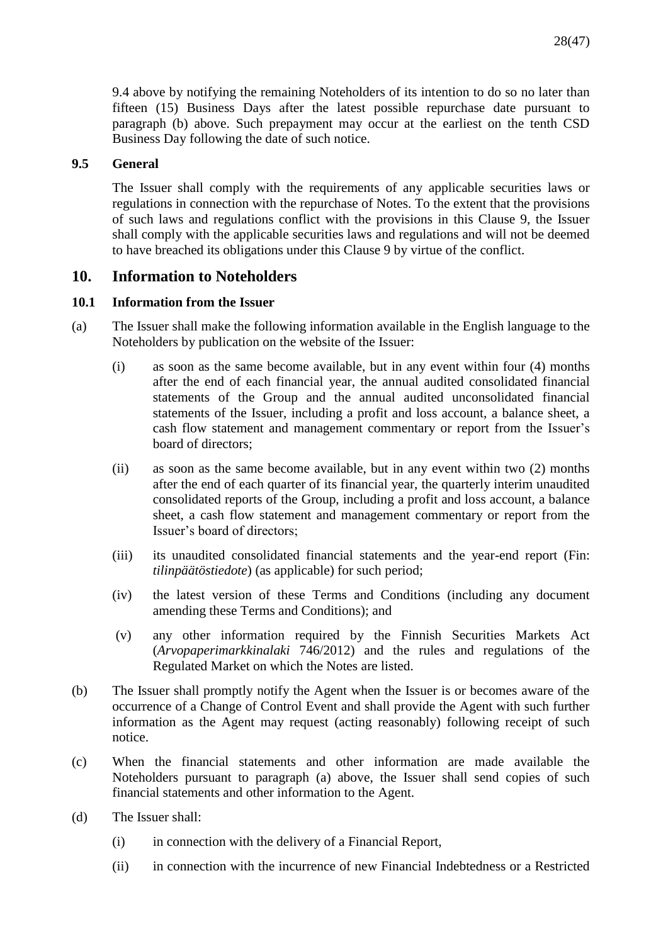9.4 above by notifying the remaining Noteholders of its intention to do so no later than fifteen (15) Business Days after the latest possible repurchase date pursuant to paragraph (b) above. Such prepayment may occur at the earliest on the tenth CSD Business Day following the date of such notice.

### **9.5 General**

The Issuer shall comply with the requirements of any applicable securities laws or regulations in connection with the repurchase of Notes. To the extent that the provisions of such laws and regulations conflict with the provisions in this Clause 9, the Issuer shall comply with the applicable securities laws and regulations and will not be deemed to have breached its obligations under this Clause 9 by virtue of the conflict.

# **10. Information to Noteholders**

# **10.1 Information from the Issuer**

- (a) The Issuer shall make the following information available in the English language to the Noteholders by publication on the website of the Issuer:
	- (i) as soon as the same become available, but in any event within four (4) months after the end of each financial year, the annual audited consolidated financial statements of the Group and the annual audited unconsolidated financial statements of the Issuer, including a profit and loss account, a balance sheet, a cash flow statement and management commentary or report from the Issuer's board of directors;
	- (ii) as soon as the same become available, but in any event within two (2) months after the end of each quarter of its financial year, the quarterly interim unaudited consolidated reports of the Group, including a profit and loss account, a balance sheet, a cash flow statement and management commentary or report from the Issuer's board of directors;
	- (iii) its unaudited consolidated financial statements and the year-end report (Fin: *tilinpäätöstiedote*) (as applicable) for such period;
	- (iv) the latest version of these Terms and Conditions (including any document amending these Terms and Conditions); and
	- (v) any other information required by the Finnish Securities Markets Act (*Arvopaperimarkkinalaki* 746/2012) and the rules and regulations of the Regulated Market on which the Notes are listed.
- (b) The Issuer shall promptly notify the Agent when the Issuer is or becomes aware of the occurrence of a Change of Control Event and shall provide the Agent with such further information as the Agent may request (acting reasonably) following receipt of such notice.
- (c) When the financial statements and other information are made available the Noteholders pursuant to paragraph (a) above, the Issuer shall send copies of such financial statements and other information to the Agent.
- (d) The Issuer shall:
	- (i) in connection with the delivery of a Financial Report,
	- (ii) in connection with the incurrence of new Financial Indebtedness or a Restricted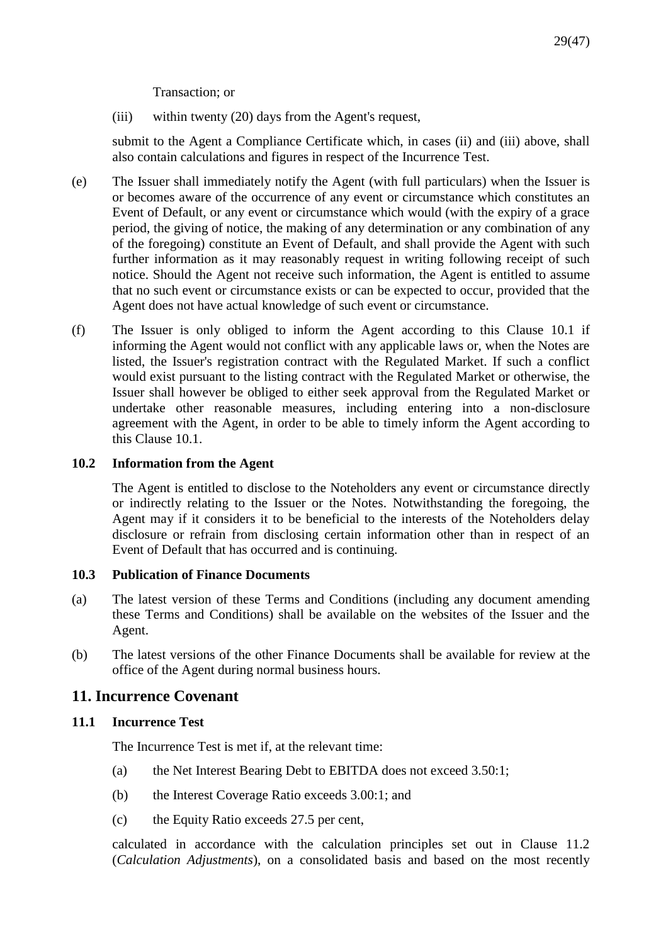Transaction; or

(iii) within twenty (20) days from the Agent's request,

submit to the Agent a Compliance Certificate which, in cases (ii) and (iii) above, shall also contain calculations and figures in respect of the Incurrence Test.

- (e) The Issuer shall immediately notify the Agent (with full particulars) when the Issuer is or becomes aware of the occurrence of any event or circumstance which constitutes an Event of Default, or any event or circumstance which would (with the expiry of a grace period, the giving of notice, the making of any determination or any combination of any of the foregoing) constitute an Event of Default, and shall provide the Agent with such further information as it may reasonably request in writing following receipt of such notice. Should the Agent not receive such information, the Agent is entitled to assume that no such event or circumstance exists or can be expected to occur, provided that the Agent does not have actual knowledge of such event or circumstance.
- (f) The Issuer is only obliged to inform the Agent according to this Clause 10.1 if informing the Agent would not conflict with any applicable laws or, when the Notes are listed, the Issuer's registration contract with the Regulated Market. If such a conflict would exist pursuant to the listing contract with the Regulated Market or otherwise, the Issuer shall however be obliged to either seek approval from the Regulated Market or undertake other reasonable measures, including entering into a non-disclosure agreement with the Agent, in order to be able to timely inform the Agent according to this Clause 10.1.

# **10.2 Information from the Agent**

The Agent is entitled to disclose to the Noteholders any event or circumstance directly or indirectly relating to the Issuer or the Notes. Notwithstanding the foregoing, the Agent may if it considers it to be beneficial to the interests of the Noteholders delay disclosure or refrain from disclosing certain information other than in respect of an Event of Default that has occurred and is continuing.

# **10.3 Publication of Finance Documents**

- (a) The latest version of these Terms and Conditions (including any document amending these Terms and Conditions) shall be available on the websites of the Issuer and the Agent.
- (b) The latest versions of the other Finance Documents shall be available for review at the office of the Agent during normal business hours.

# **11. Incurrence Covenant**

# **11.1 Incurrence Test**

The Incurrence Test is met if, at the relevant time:

- (a) the Net Interest Bearing Debt to EBITDA does not exceed 3.50:1;
- (b) the Interest Coverage Ratio exceeds 3.00:1; and
- (c) the Equity Ratio exceeds 27.5 per cent,

calculated in accordance with the calculation principles set out in Clause 11.2 (*Calculation Adjustments*), on a consolidated basis and based on the most recently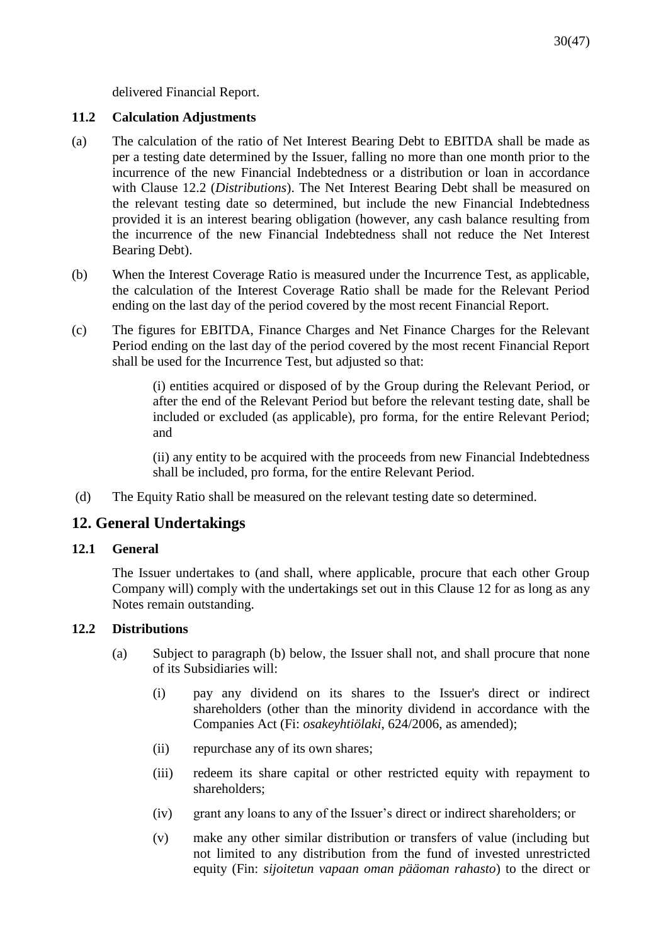delivered Financial Report.

# **11.2 Calculation Adjustments**

- (a) The calculation of the ratio of Net Interest Bearing Debt to EBITDA shall be made as per a testing date determined by the Issuer, falling no more than one month prior to the incurrence of the new Financial Indebtedness or a distribution or loan in accordance with Clause 12.2 (*Distributions*). The Net Interest Bearing Debt shall be measured on the relevant testing date so determined, but include the new Financial Indebtedness provided it is an interest bearing obligation (however, any cash balance resulting from the incurrence of the new Financial Indebtedness shall not reduce the Net Interest Bearing Debt).
- (b) When the Interest Coverage Ratio is measured under the Incurrence Test, as applicable, the calculation of the Interest Coverage Ratio shall be made for the Relevant Period ending on the last day of the period covered by the most recent Financial Report.
- (c) The figures for EBITDA, Finance Charges and Net Finance Charges for the Relevant Period ending on the last day of the period covered by the most recent Financial Report shall be used for the Incurrence Test, but adjusted so that:

(i) entities acquired or disposed of by the Group during the Relevant Period, or after the end of the Relevant Period but before the relevant testing date, shall be included or excluded (as applicable), pro forma, for the entire Relevant Period; and

(ii) any entity to be acquired with the proceeds from new Financial Indebtedness shall be included, pro forma, for the entire Relevant Period.

(d) The Equity Ratio shall be measured on the relevant testing date so determined.

# **12. General Undertakings**

### **12.1 General**

The Issuer undertakes to (and shall, where applicable, procure that each other Group Company will) comply with the undertakings set out in this Clause 12 for as long as any Notes remain outstanding.

### **12.2 Distributions**

- (a) Subject to paragraph (b) below, the Issuer shall not, and shall procure that none of its Subsidiaries will:
	- (i) pay any dividend on its shares to the Issuer's direct or indirect shareholders (other than the minority dividend in accordance with the Companies Act (Fi: *osakeyhtiölaki*, 624/2006, as amended);
	- (ii) repurchase any of its own shares;
	- (iii) redeem its share capital or other restricted equity with repayment to shareholders;
	- (iv) grant any loans to any of the Issuer's direct or indirect shareholders; or
	- (v) make any other similar distribution or transfers of value (including but not limited to any distribution from the fund of invested unrestricted equity (Fin: *sijoitetun vapaan oman pääoman rahasto*) to the direct or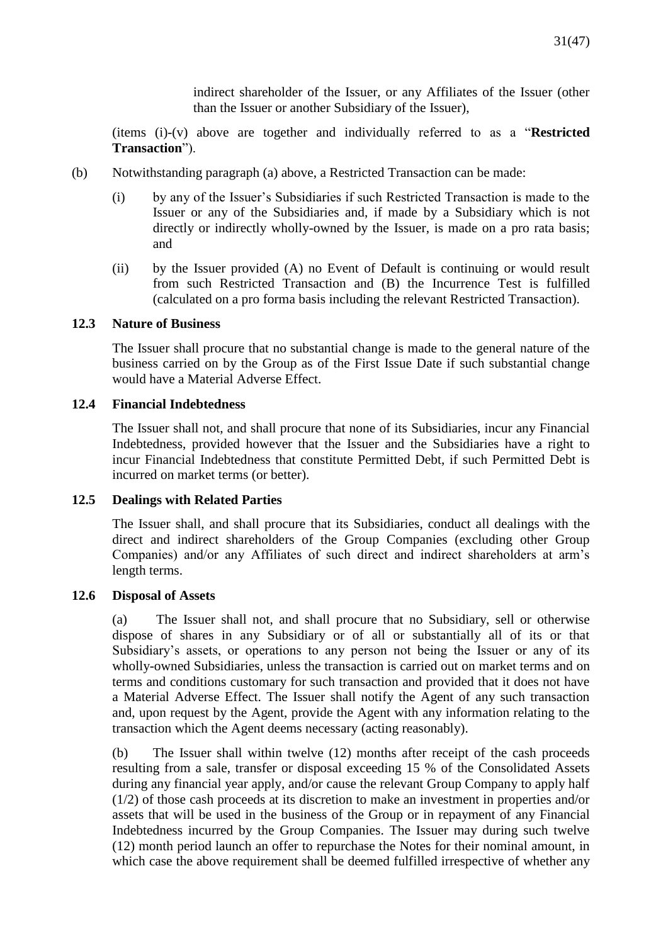indirect shareholder of the Issuer, or any Affiliates of the Issuer (other than the Issuer or another Subsidiary of the Issuer),

(items (i)-(v) above are together and individually referred to as a "**Restricted Transaction**").

- (b) Notwithstanding paragraph (a) above, a Restricted Transaction can be made:
	- (i) by any of the Issuer's Subsidiaries if such Restricted Transaction is made to the Issuer or any of the Subsidiaries and, if made by a Subsidiary which is not directly or indirectly wholly-owned by the Issuer, is made on a pro rata basis; and
	- (ii) by the Issuer provided (A) no Event of Default is continuing or would result from such Restricted Transaction and (B) the Incurrence Test is fulfilled (calculated on a pro forma basis including the relevant Restricted Transaction).

### **12.3 Nature of Business**

The Issuer shall procure that no substantial change is made to the general nature of the business carried on by the Group as of the First Issue Date if such substantial change would have a Material Adverse Effect.

### **12.4 Financial Indebtedness**

The Issuer shall not, and shall procure that none of its Subsidiaries, incur any Financial Indebtedness, provided however that the Issuer and the Subsidiaries have a right to incur Financial Indebtedness that constitute Permitted Debt, if such Permitted Debt is incurred on market terms (or better).

### **12.5 Dealings with Related Parties**

The Issuer shall, and shall procure that its Subsidiaries, conduct all dealings with the direct and indirect shareholders of the Group Companies (excluding other Group Companies) and/or any Affiliates of such direct and indirect shareholders at arm's length terms.

### **12.6 Disposal of Assets**

(a) The Issuer shall not, and shall procure that no Subsidiary, sell or otherwise dispose of shares in any Subsidiary or of all or substantially all of its or that Subsidiary's assets, or operations to any person not being the Issuer or any of its wholly-owned Subsidiaries, unless the transaction is carried out on market terms and on terms and conditions customary for such transaction and provided that it does not have a Material Adverse Effect. The Issuer shall notify the Agent of any such transaction and, upon request by the Agent, provide the Agent with any information relating to the transaction which the Agent deems necessary (acting reasonably).

(b) The Issuer shall within twelve (12) months after receipt of the cash proceeds resulting from a sale, transfer or disposal exceeding 15 % of the Consolidated Assets during any financial year apply, and/or cause the relevant Group Company to apply half (1/2) of those cash proceeds at its discretion to make an investment in properties and/or assets that will be used in the business of the Group or in repayment of any Financial Indebtedness incurred by the Group Companies. The Issuer may during such twelve (12) month period launch an offer to repurchase the Notes for their nominal amount, in which case the above requirement shall be deemed fulfilled irrespective of whether any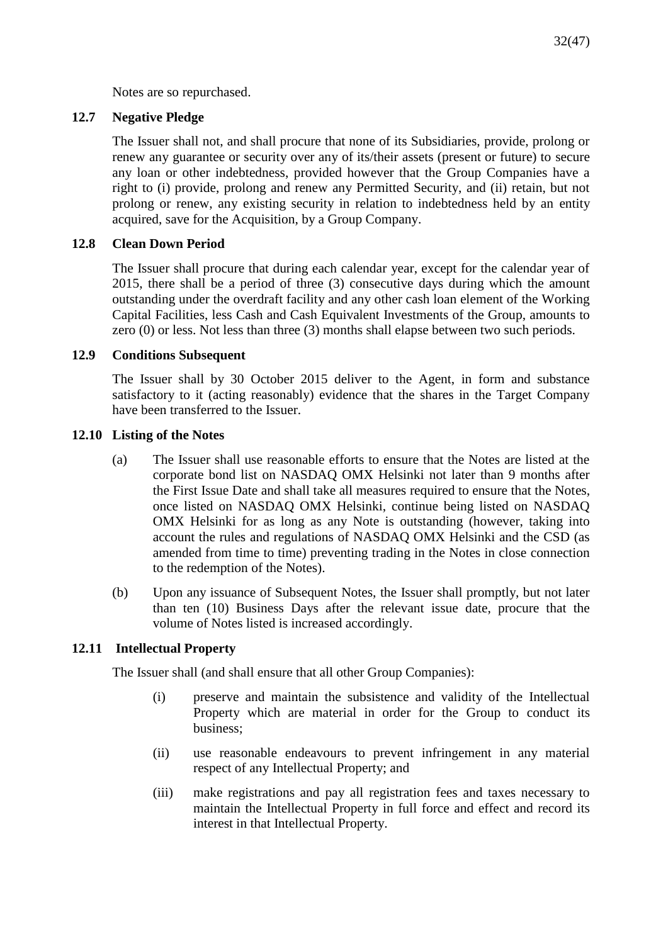Notes are so repurchased.

# **12.7 Negative Pledge**

The Issuer shall not, and shall procure that none of its Subsidiaries, provide, prolong or renew any guarantee or security over any of its/their assets (present or future) to secure any loan or other indebtedness, provided however that the Group Companies have a right to (i) provide, prolong and renew any Permitted Security, and (ii) retain, but not prolong or renew, any existing security in relation to indebtedness held by an entity acquired, save for the Acquisition, by a Group Company.

# **12.8 Clean Down Period**

The Issuer shall procure that during each calendar year, except for the calendar year of 2015, there shall be a period of three (3) consecutive days during which the amount outstanding under the overdraft facility and any other cash loan element of the Working Capital Facilities, less Cash and Cash Equivalent Investments of the Group, amounts to zero (0) or less. Not less than three (3) months shall elapse between two such periods.

# **12.9 Conditions Subsequent**

The Issuer shall by 30 October 2015 deliver to the Agent, in form and substance satisfactory to it (acting reasonably) evidence that the shares in the Target Company have been transferred to the Issuer.

# **12.10 Listing of the Notes**

- (a) The Issuer shall use reasonable efforts to ensure that the Notes are listed at the corporate bond list on NASDAQ OMX Helsinki not later than 9 months after the First Issue Date and shall take all measures required to ensure that the Notes, once listed on NASDAQ OMX Helsinki, continue being listed on NASDAQ OMX Helsinki for as long as any Note is outstanding (however, taking into account the rules and regulations of NASDAQ OMX Helsinki and the CSD (as amended from time to time) preventing trading in the Notes in close connection to the redemption of the Notes).
- (b) Upon any issuance of Subsequent Notes, the Issuer shall promptly, but not later than ten (10) Business Days after the relevant issue date, procure that the volume of Notes listed is increased accordingly.

# **12.11 Intellectual Property**

The Issuer shall (and shall ensure that all other Group Companies):

- (i) preserve and maintain the subsistence and validity of the Intellectual Property which are material in order for the Group to conduct its business;
- (ii) use reasonable endeavours to prevent infringement in any material respect of any Intellectual Property; and
- (iii) make registrations and pay all registration fees and taxes necessary to maintain the Intellectual Property in full force and effect and record its interest in that Intellectual Property.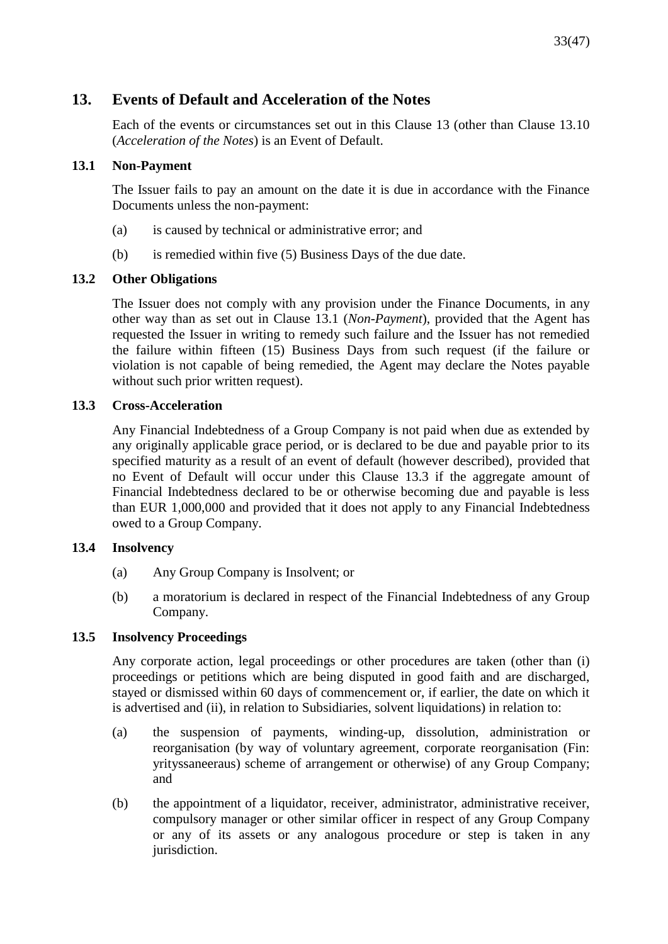# **13. Events of Default and Acceleration of the Notes**

Each of the events or circumstances set out in this Clause 13 (other than Clause 13.10 (*Acceleration of the Notes*) is an Event of Default.

# **13.1 Non-Payment**

The Issuer fails to pay an amount on the date it is due in accordance with the Finance Documents unless the non-payment:

- (a) is caused by technical or administrative error; and
- (b) is remedied within five (5) Business Days of the due date.

# **13.2 Other Obligations**

The Issuer does not comply with any provision under the Finance Documents, in any other way than as set out in Clause 13.1 (*Non-Payment*), provided that the Agent has requested the Issuer in writing to remedy such failure and the Issuer has not remedied the failure within fifteen (15) Business Days from such request (if the failure or violation is not capable of being remedied, the Agent may declare the Notes payable without such prior written request).

# **13.3 Cross-Acceleration**

Any Financial Indebtedness of a Group Company is not paid when due as extended by any originally applicable grace period, or is declared to be due and payable prior to its specified maturity as a result of an event of default (however described), provided that no Event of Default will occur under this Clause 13.3 if the aggregate amount of Financial Indebtedness declared to be or otherwise becoming due and payable is less than EUR 1,000,000 and provided that it does not apply to any Financial Indebtedness owed to a Group Company.

# **13.4 Insolvency**

- (a) Any Group Company is Insolvent; or
- (b) a moratorium is declared in respect of the Financial Indebtedness of any Group Company.

# **13.5 Insolvency Proceedings**

Any corporate action, legal proceedings or other procedures are taken (other than (i) proceedings or petitions which are being disputed in good faith and are discharged, stayed or dismissed within 60 days of commencement or, if earlier, the date on which it is advertised and (ii), in relation to Subsidiaries, solvent liquidations) in relation to:

- (a) the suspension of payments, winding-up, dissolution, administration or reorganisation (by way of voluntary agreement, corporate reorganisation (Fin: yrityssaneeraus) scheme of arrangement or otherwise) of any Group Company; and
- (b) the appointment of a liquidator, receiver, administrator, administrative receiver, compulsory manager or other similar officer in respect of any Group Company or any of its assets or any analogous procedure or step is taken in any jurisdiction.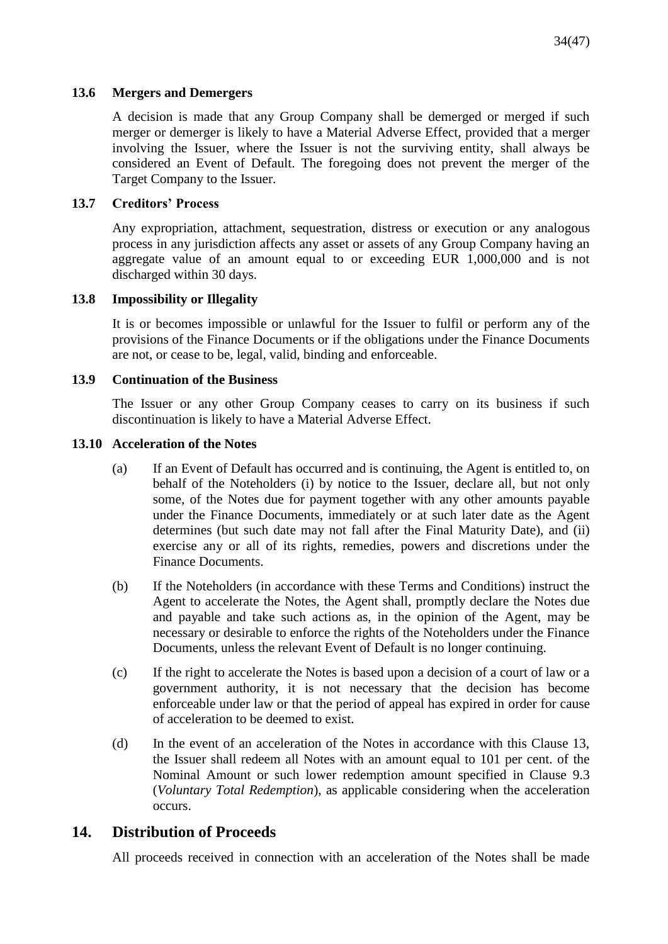# **13.6 Mergers and Demergers**

A decision is made that any Group Company shall be demerged or merged if such merger or demerger is likely to have a Material Adverse Effect, provided that a merger involving the Issuer, where the Issuer is not the surviving entity, shall always be considered an Event of Default. The foregoing does not prevent the merger of the Target Company to the Issuer.

# **13.7 Creditors' Process**

Any expropriation, attachment, sequestration, distress or execution or any analogous process in any jurisdiction affects any asset or assets of any Group Company having an aggregate value of an amount equal to or exceeding EUR 1,000,000 and is not discharged within 30 days.

# **13.8 Impossibility or Illegality**

It is or becomes impossible or unlawful for the Issuer to fulfil or perform any of the provisions of the Finance Documents or if the obligations under the Finance Documents are not, or cease to be, legal, valid, binding and enforceable.

# **13.9 Continuation of the Business**

The Issuer or any other Group Company ceases to carry on its business if such discontinuation is likely to have a Material Adverse Effect.

### **13.10 Acceleration of the Notes**

- (a) If an Event of Default has occurred and is continuing, the Agent is entitled to, on behalf of the Noteholders (i) by notice to the Issuer, declare all, but not only some, of the Notes due for payment together with any other amounts payable under the Finance Documents, immediately or at such later date as the Agent determines (but such date may not fall after the Final Maturity Date), and (ii) exercise any or all of its rights, remedies, powers and discretions under the Finance Documents.
- (b) If the Noteholders (in accordance with these Terms and Conditions) instruct the Agent to accelerate the Notes, the Agent shall, promptly declare the Notes due and payable and take such actions as, in the opinion of the Agent, may be necessary or desirable to enforce the rights of the Noteholders under the Finance Documents, unless the relevant Event of Default is no longer continuing.
- (c) If the right to accelerate the Notes is based upon a decision of a court of law or a government authority, it is not necessary that the decision has become enforceable under law or that the period of appeal has expired in order for cause of acceleration to be deemed to exist.
- (d) In the event of an acceleration of the Notes in accordance with this Clause 13, the Issuer shall redeem all Notes with an amount equal to 101 per cent. of the Nominal Amount or such lower redemption amount specified in Clause 9.3 (*Voluntary Total Redemption*), as applicable considering when the acceleration occurs.

# **14. Distribution of Proceeds**

All proceeds received in connection with an acceleration of the Notes shall be made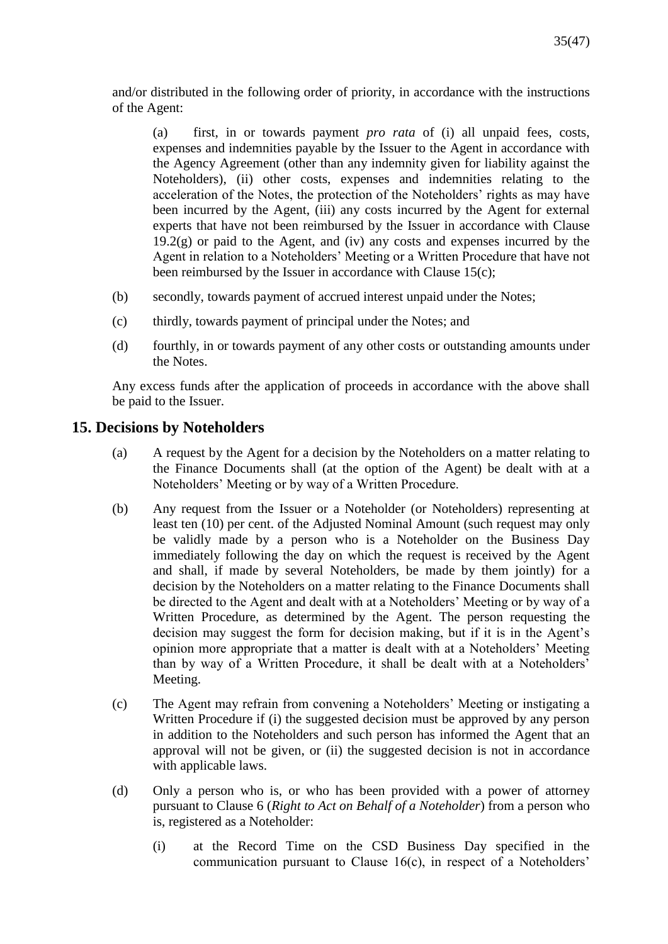and/or distributed in the following order of priority, in accordance with the instructions of the Agent:

(a) first, in or towards payment *pro rata* of (i) all unpaid fees, costs, expenses and indemnities payable by the Issuer to the Agent in accordance with the Agency Agreement (other than any indemnity given for liability against the Noteholders), (ii) other costs, expenses and indemnities relating to the acceleration of the Notes, the protection of the Noteholders' rights as may have been incurred by the Agent, (iii) any costs incurred by the Agent for external experts that have not been reimbursed by the Issuer in accordance with Clause  $19.2(g)$  or paid to the Agent, and (iv) any costs and expenses incurred by the Agent in relation to a Noteholders' Meeting or a Written Procedure that have not been reimbursed by the Issuer in accordance with Clause 15(c);

- (b) secondly, towards payment of accrued interest unpaid under the Notes;
- (c) thirdly, towards payment of principal under the Notes; and
- (d) fourthly, in or towards payment of any other costs or outstanding amounts under the Notes.

Any excess funds after the application of proceeds in accordance with the above shall be paid to the Issuer.

# **15. Decisions by Noteholders**

- (a) A request by the Agent for a decision by the Noteholders on a matter relating to the Finance Documents shall (at the option of the Agent) be dealt with at a Noteholders' Meeting or by way of a Written Procedure.
- (b) Any request from the Issuer or a Noteholder (or Noteholders) representing at least ten (10) per cent. of the Adjusted Nominal Amount (such request may only be validly made by a person who is a Noteholder on the Business Day immediately following the day on which the request is received by the Agent and shall, if made by several Noteholders, be made by them jointly) for a decision by the Noteholders on a matter relating to the Finance Documents shall be directed to the Agent and dealt with at a Noteholders' Meeting or by way of a Written Procedure, as determined by the Agent. The person requesting the decision may suggest the form for decision making, but if it is in the Agent's opinion more appropriate that a matter is dealt with at a Noteholders' Meeting than by way of a Written Procedure, it shall be dealt with at a Noteholders' Meeting.
- (c) The Agent may refrain from convening a Noteholders' Meeting or instigating a Written Procedure if (i) the suggested decision must be approved by any person in addition to the Noteholders and such person has informed the Agent that an approval will not be given, or (ii) the suggested decision is not in accordance with applicable laws.
- (d) Only a person who is, or who has been provided with a power of attorney pursuant to Clause 6 (*Right to Act on Behalf of a Noteholder*) from a person who is, registered as a Noteholder:
	- (i) at the Record Time on the CSD Business Day specified in the communication pursuant to Clause 16(c), in respect of a Noteholders'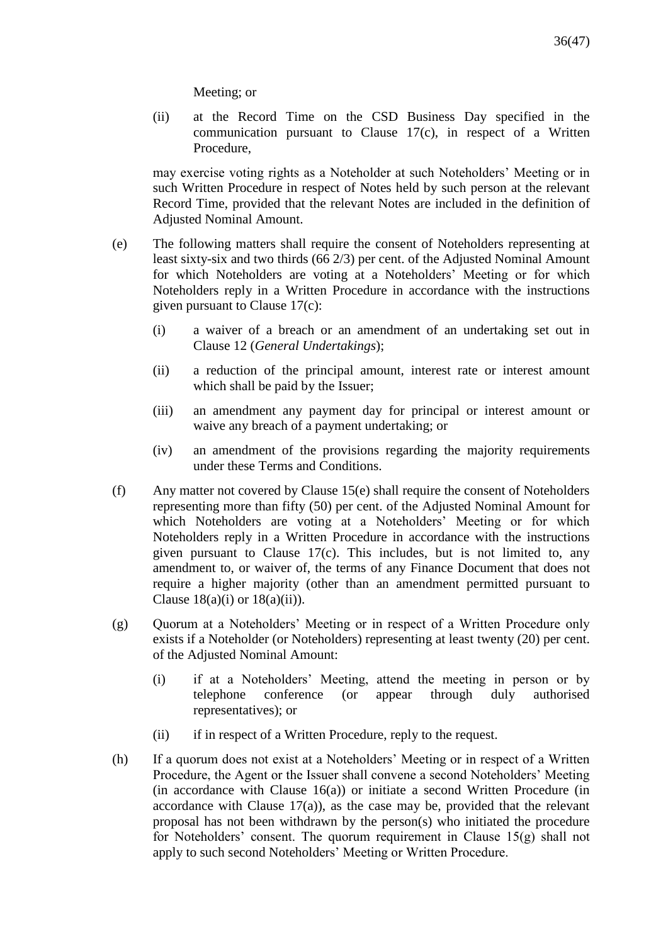Meeting; or

(ii) at the Record Time on the CSD Business Day specified in the communication pursuant to Clause 17(c), in respect of a Written Procedure,

may exercise voting rights as a Noteholder at such Noteholders' Meeting or in such Written Procedure in respect of Notes held by such person at the relevant Record Time, provided that the relevant Notes are included in the definition of Adjusted Nominal Amount.

- (e) The following matters shall require the consent of Noteholders representing at least sixty-six and two thirds (66 2/3) per cent. of the Adjusted Nominal Amount for which Noteholders are voting at a Noteholders' Meeting or for which Noteholders reply in a Written Procedure in accordance with the instructions given pursuant to Clause 17(c):
	- (i) a waiver of a breach or an amendment of an undertaking set out in Clause 12 (*General Undertakings*);
	- (ii) a reduction of the principal amount, interest rate or interest amount which shall be paid by the Issuer;
	- (iii) an amendment any payment day for principal or interest amount or waive any breach of a payment undertaking; or
	- (iv) an amendment of the provisions regarding the majority requirements under these Terms and Conditions.
- (f) Any matter not covered by Clause 15(e) shall require the consent of Noteholders representing more than fifty (50) per cent. of the Adjusted Nominal Amount for which Noteholders are voting at a Noteholders' Meeting or for which Noteholders reply in a Written Procedure in accordance with the instructions given pursuant to Clause 17(c). This includes, but is not limited to, any amendment to, or waiver of, the terms of any Finance Document that does not require a higher majority (other than an amendment permitted pursuant to Clause  $18(a)(i)$  or  $18(a)(ii)$ ).
- (g) Quorum at a Noteholders' Meeting or in respect of a Written Procedure only exists if a Noteholder (or Noteholders) representing at least twenty (20) per cent. of the Adjusted Nominal Amount:
	- (i) if at a Noteholders' Meeting, attend the meeting in person or by telephone conference (or appear through duly authorised representatives); or
	- (ii) if in respect of a Written Procedure, reply to the request.
- (h) If a quorum does not exist at a Noteholders' Meeting or in respect of a Written Procedure, the Agent or the Issuer shall convene a second Noteholders' Meeting (in accordance with Clause 16(a)) or initiate a second Written Procedure (in accordance with Clause  $17(a)$ , as the case may be, provided that the relevant proposal has not been withdrawn by the person(s) who initiated the procedure for Noteholders' consent. The quorum requirement in Clause 15(g) shall not apply to such second Noteholders' Meeting or Written Procedure.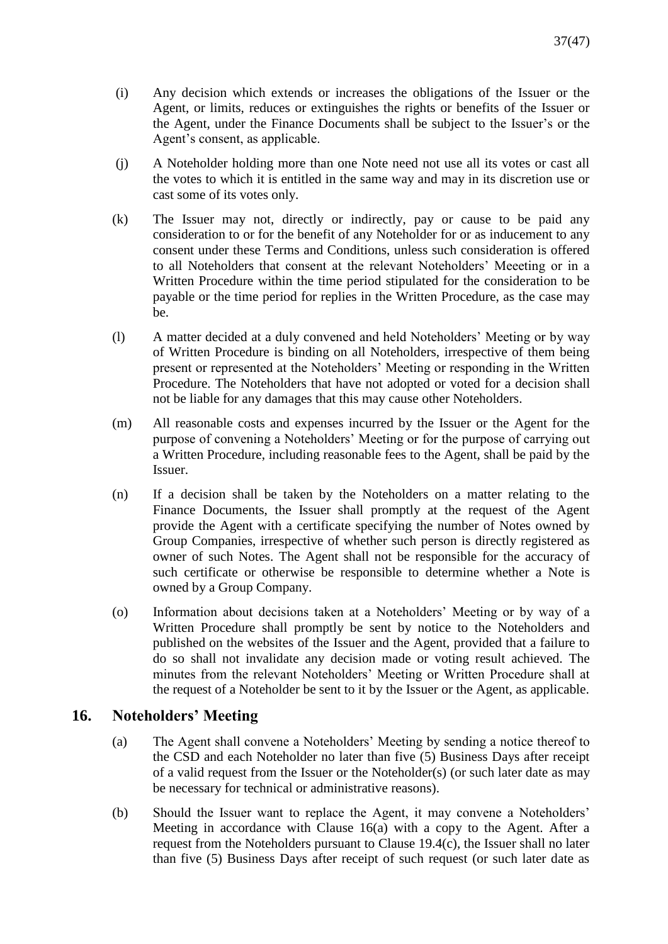- (i) Any decision which extends or increases the obligations of the Issuer or the Agent, or limits, reduces or extinguishes the rights or benefits of the Issuer or the Agent, under the Finance Documents shall be subject to the Issuer's or the Agent's consent, as applicable.
- (j) A Noteholder holding more than one Note need not use all its votes or cast all the votes to which it is entitled in the same way and may in its discretion use or cast some of its votes only.
- (k) The Issuer may not, directly or indirectly, pay or cause to be paid any consideration to or for the benefit of any Noteholder for or as inducement to any consent under these Terms and Conditions, unless such consideration is offered to all Noteholders that consent at the relevant Noteholders' Meeeting or in a Written Procedure within the time period stipulated for the consideration to be payable or the time period for replies in the Written Procedure, as the case may be.
- (l) A matter decided at a duly convened and held Noteholders' Meeting or by way of Written Procedure is binding on all Noteholders, irrespective of them being present or represented at the Noteholders' Meeting or responding in the Written Procedure. The Noteholders that have not adopted or voted for a decision shall not be liable for any damages that this may cause other Noteholders.
- (m) All reasonable costs and expenses incurred by the Issuer or the Agent for the purpose of convening a Noteholders' Meeting or for the purpose of carrying out a Written Procedure, including reasonable fees to the Agent, shall be paid by the Issuer.
- (n) If a decision shall be taken by the Noteholders on a matter relating to the Finance Documents, the Issuer shall promptly at the request of the Agent provide the Agent with a certificate specifying the number of Notes owned by Group Companies, irrespective of whether such person is directly registered as owner of such Notes. The Agent shall not be responsible for the accuracy of such certificate or otherwise be responsible to determine whether a Note is owned by a Group Company.
- (o) Information about decisions taken at a Noteholders' Meeting or by way of a Written Procedure shall promptly be sent by notice to the Noteholders and published on the websites of the Issuer and the Agent, provided that a failure to do so shall not invalidate any decision made or voting result achieved. The minutes from the relevant Noteholders' Meeting or Written Procedure shall at the request of a Noteholder be sent to it by the Issuer or the Agent, as applicable.

# **16. Noteholders' Meeting**

- (a) The Agent shall convene a Noteholders' Meeting by sending a notice thereof to the CSD and each Noteholder no later than five (5) Business Days after receipt of a valid request from the Issuer or the Noteholder(s) (or such later date as may be necessary for technical or administrative reasons).
- (b) Should the Issuer want to replace the Agent, it may convene a Noteholders' Meeting in accordance with Clause 16(a) with a copy to the Agent. After a request from the Noteholders pursuant to Clause 19.4(c), the Issuer shall no later than five (5) Business Days after receipt of such request (or such later date as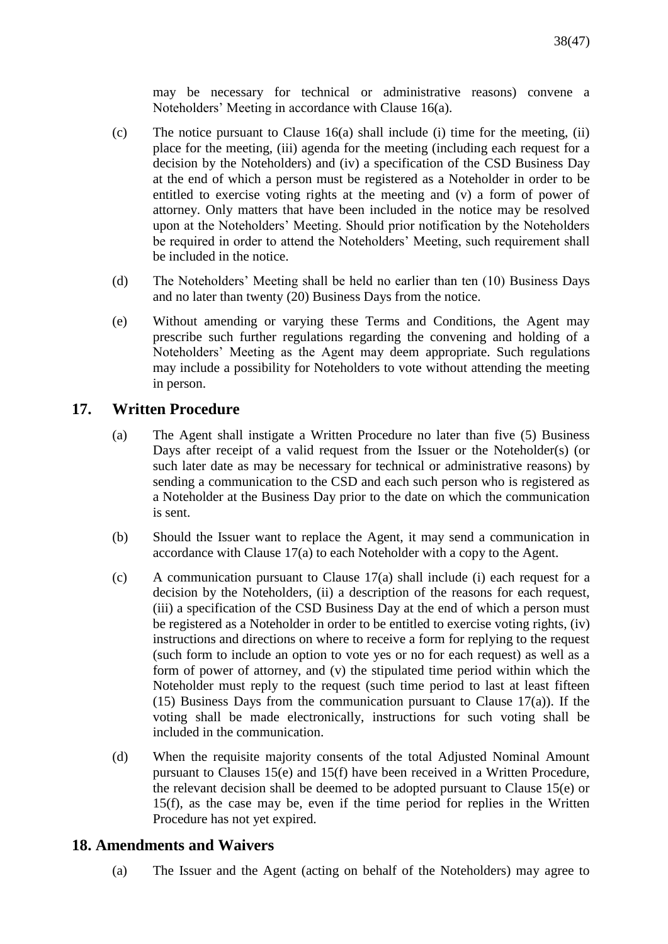may be necessary for technical or administrative reasons) convene a Noteholders' Meeting in accordance with Clause 16(a).

- (c) The notice pursuant to Clause 16(a) shall include (i) time for the meeting, (ii) place for the meeting, (iii) agenda for the meeting (including each request for a decision by the Noteholders) and (iv) a specification of the CSD Business Day at the end of which a person must be registered as a Noteholder in order to be entitled to exercise voting rights at the meeting and (v) a form of power of attorney. Only matters that have been included in the notice may be resolved upon at the Noteholders' Meeting. Should prior notification by the Noteholders be required in order to attend the Noteholders' Meeting, such requirement shall be included in the notice.
- (d) The Noteholders' Meeting shall be held no earlier than ten (10) Business Days and no later than twenty (20) Business Days from the notice.
- (e) Without amending or varying these Terms and Conditions, the Agent may prescribe such further regulations regarding the convening and holding of a Noteholders' Meeting as the Agent may deem appropriate. Such regulations may include a possibility for Noteholders to vote without attending the meeting in person.

# **17. Written Procedure**

- (a) The Agent shall instigate a Written Procedure no later than five (5) Business Days after receipt of a valid request from the Issuer or the Noteholder(s) (or such later date as may be necessary for technical or administrative reasons) by sending a communication to the CSD and each such person who is registered as a Noteholder at the Business Day prior to the date on which the communication is sent.
- (b) Should the Issuer want to replace the Agent, it may send a communication in accordance with Clause 17(a) to each Noteholder with a copy to the Agent.
- (c) A communication pursuant to Clause 17(a) shall include (i) each request for a decision by the Noteholders, (ii) a description of the reasons for each request, (iii) a specification of the CSD Business Day at the end of which a person must be registered as a Noteholder in order to be entitled to exercise voting rights, (iv) instructions and directions on where to receive a form for replying to the request (such form to include an option to vote yes or no for each request) as well as a form of power of attorney, and (v) the stipulated time period within which the Noteholder must reply to the request (such time period to last at least fifteen (15) Business Days from the communication pursuant to Clause  $17(a)$ ). If the voting shall be made electronically, instructions for such voting shall be included in the communication.
- (d) When the requisite majority consents of the total Adjusted Nominal Amount pursuant to Clauses 15(e) and 15(f) have been received in a Written Procedure, the relevant decision shall be deemed to be adopted pursuant to Clause 15(e) or 15(f), as the case may be, even if the time period for replies in the Written Procedure has not yet expired.

# **18. Amendments and Waivers**

(a) The Issuer and the Agent (acting on behalf of the Noteholders) may agree to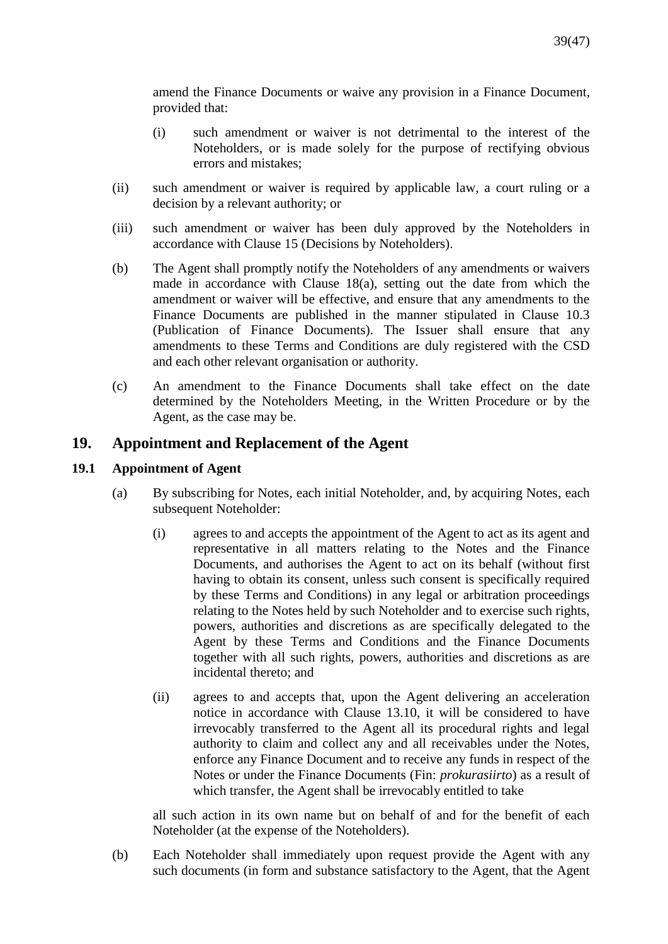amend the Finance Documents or waive any provision in a Finance Document, provided that:

- (i) such amendment or waiver is not detrimental to the interest of the Noteholders, or is made solely for the purpose of rectifying obvious errors and mistakes;
- (ii) such amendment or waiver is required by applicable law, a court ruling or a decision by a relevant authority; or
- (iii) such amendment or waiver has been duly approved by the Noteholders in accordance with Clause 15 (Decisions by Noteholders).
- (b) The Agent shall promptly notify the Noteholders of any amendments or waivers made in accordance with Clause 18(a), setting out the date from which the amendment or waiver will be effective, and ensure that any amendments to the Finance Documents are published in the manner stipulated in Clause 10.3 (Publication of Finance Documents). The Issuer shall ensure that any amendments to these Terms and Conditions are duly registered with the CSD and each other relevant organisation or authority.
- (c) An amendment to the Finance Documents shall take effect on the date determined by the Noteholders Meeting, in the Written Procedure or by the Agent, as the case may be.

# **19. Appointment and Replacement of the Agent**

# **19.1 Appointment of Agent**

- (a) By subscribing for Notes, each initial Noteholder, and, by acquiring Notes, each subsequent Noteholder:
	- (i) agrees to and accepts the appointment of the Agent to act as its agent and representative in all matters relating to the Notes and the Finance Documents, and authorises the Agent to act on its behalf (without first having to obtain its consent, unless such consent is specifically required by these Terms and Conditions) in any legal or arbitration proceedings relating to the Notes held by such Noteholder and to exercise such rights, powers, authorities and discretions as are specifically delegated to the Agent by these Terms and Conditions and the Finance Documents together with all such rights, powers, authorities and discretions as are incidental thereto; and
	- (ii) agrees to and accepts that, upon the Agent delivering an acceleration notice in accordance with Clause 13.10, it will be considered to have irrevocably transferred to the Agent all its procedural rights and legal authority to claim and collect any and all receivables under the Notes, enforce any Finance Document and to receive any funds in respect of the Notes or under the Finance Documents (Fin: *prokurasiirto*) as a result of which transfer, the Agent shall be irrevocably entitled to take

all such action in its own name but on behalf of and for the benefit of each Noteholder (at the expense of the Noteholders).

(b) Each Noteholder shall immediately upon request provide the Agent with any such documents (in form and substance satisfactory to the Agent, that the Agent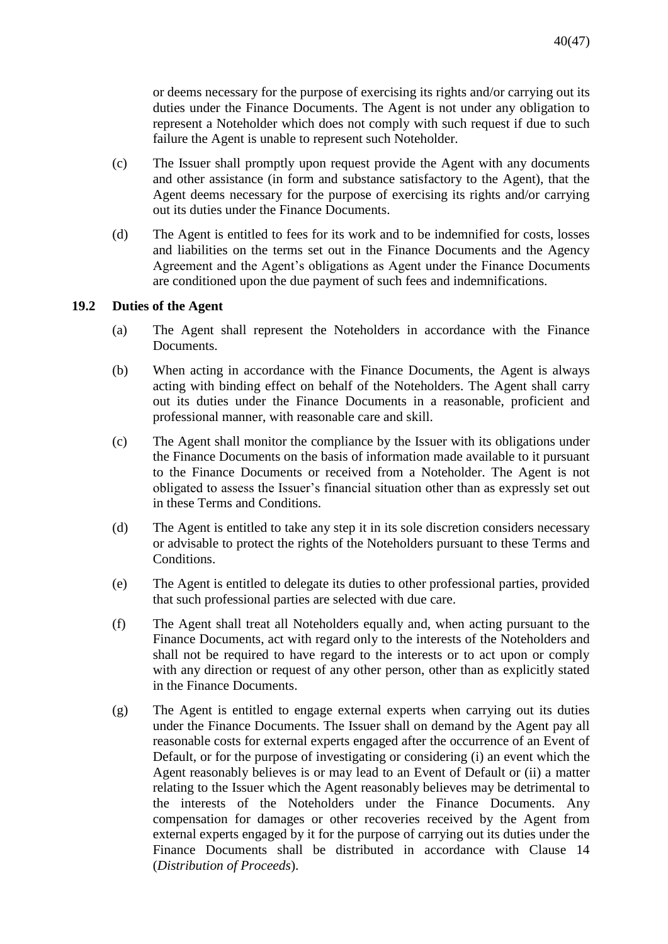or deems necessary for the purpose of exercising its rights and/or carrying out its duties under the Finance Documents. The Agent is not under any obligation to represent a Noteholder which does not comply with such request if due to such failure the Agent is unable to represent such Noteholder.

- (c) The Issuer shall promptly upon request provide the Agent with any documents and other assistance (in form and substance satisfactory to the Agent), that the Agent deems necessary for the purpose of exercising its rights and/or carrying out its duties under the Finance Documents.
- (d) The Agent is entitled to fees for its work and to be indemnified for costs, losses and liabilities on the terms set out in the Finance Documents and the Agency Agreement and the Agent's obligations as Agent under the Finance Documents are conditioned upon the due payment of such fees and indemnifications.

### **19.2 Duties of the Agent**

- (a) The Agent shall represent the Noteholders in accordance with the Finance Documents.
- (b) When acting in accordance with the Finance Documents, the Agent is always acting with binding effect on behalf of the Noteholders. The Agent shall carry out its duties under the Finance Documents in a reasonable, proficient and professional manner, with reasonable care and skill.
- (c) The Agent shall monitor the compliance by the Issuer with its obligations under the Finance Documents on the basis of information made available to it pursuant to the Finance Documents or received from a Noteholder. The Agent is not obligated to assess the Issuer's financial situation other than as expressly set out in these Terms and Conditions.
- (d) The Agent is entitled to take any step it in its sole discretion considers necessary or advisable to protect the rights of the Noteholders pursuant to these Terms and Conditions.
- (e) The Agent is entitled to delegate its duties to other professional parties, provided that such professional parties are selected with due care.
- (f) The Agent shall treat all Noteholders equally and, when acting pursuant to the Finance Documents, act with regard only to the interests of the Noteholders and shall not be required to have regard to the interests or to act upon or comply with any direction or request of any other person, other than as explicitly stated in the Finance Documents.
- (g) The Agent is entitled to engage external experts when carrying out its duties under the Finance Documents. The Issuer shall on demand by the Agent pay all reasonable costs for external experts engaged after the occurrence of an Event of Default, or for the purpose of investigating or considering (i) an event which the Agent reasonably believes is or may lead to an Event of Default or (ii) a matter relating to the Issuer which the Agent reasonably believes may be detrimental to the interests of the Noteholders under the Finance Documents. Any compensation for damages or other recoveries received by the Agent from external experts engaged by it for the purpose of carrying out its duties under the Finance Documents shall be distributed in accordance with Clause 14 (*Distribution of Proceeds*).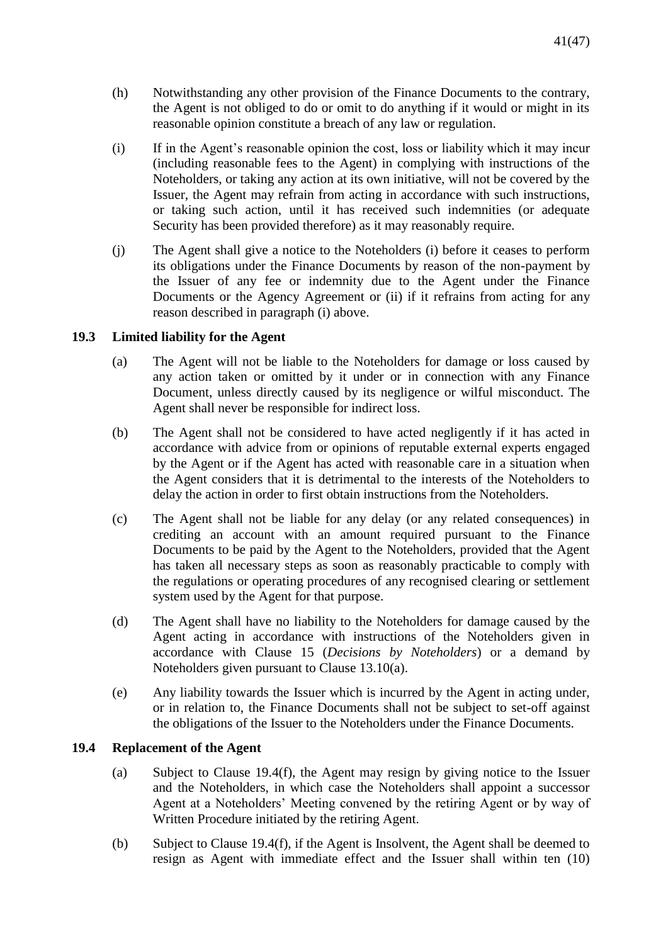- (h) Notwithstanding any other provision of the Finance Documents to the contrary, the Agent is not obliged to do or omit to do anything if it would or might in its reasonable opinion constitute a breach of any law or regulation.
- (i) If in the Agent's reasonable opinion the cost, loss or liability which it may incur (including reasonable fees to the Agent) in complying with instructions of the Noteholders, or taking any action at its own initiative, will not be covered by the Issuer, the Agent may refrain from acting in accordance with such instructions, or taking such action, until it has received such indemnities (or adequate Security has been provided therefore) as it may reasonably require.
- (j) The Agent shall give a notice to the Noteholders (i) before it ceases to perform its obligations under the Finance Documents by reason of the non-payment by the Issuer of any fee or indemnity due to the Agent under the Finance Documents or the Agency Agreement or (ii) if it refrains from acting for any reason described in paragraph (i) above.

# **19.3 Limited liability for the Agent**

- (a) The Agent will not be liable to the Noteholders for damage or loss caused by any action taken or omitted by it under or in connection with any Finance Document, unless directly caused by its negligence or wilful misconduct. The Agent shall never be responsible for indirect loss.
- (b) The Agent shall not be considered to have acted negligently if it has acted in accordance with advice from or opinions of reputable external experts engaged by the Agent or if the Agent has acted with reasonable care in a situation when the Agent considers that it is detrimental to the interests of the Noteholders to delay the action in order to first obtain instructions from the Noteholders.
- (c) The Agent shall not be liable for any delay (or any related consequences) in crediting an account with an amount required pursuant to the Finance Documents to be paid by the Agent to the Noteholders, provided that the Agent has taken all necessary steps as soon as reasonably practicable to comply with the regulations or operating procedures of any recognised clearing or settlement system used by the Agent for that purpose.
- (d) The Agent shall have no liability to the Noteholders for damage caused by the Agent acting in accordance with instructions of the Noteholders given in accordance with Clause 15 (*Decisions by Noteholders*) or a demand by Noteholders given pursuant to Clause 13.10(a).
- (e) Any liability towards the Issuer which is incurred by the Agent in acting under, or in relation to, the Finance Documents shall not be subject to set-off against the obligations of the Issuer to the Noteholders under the Finance Documents.

### **19.4 Replacement of the Agent**

- (a) Subject to Clause 19.4(f), the Agent may resign by giving notice to the Issuer and the Noteholders, in which case the Noteholders shall appoint a successor Agent at a Noteholders' Meeting convened by the retiring Agent or by way of Written Procedure initiated by the retiring Agent.
- (b) Subject to Clause 19.4(f), if the Agent is Insolvent, the Agent shall be deemed to resign as Agent with immediate effect and the Issuer shall within ten (10)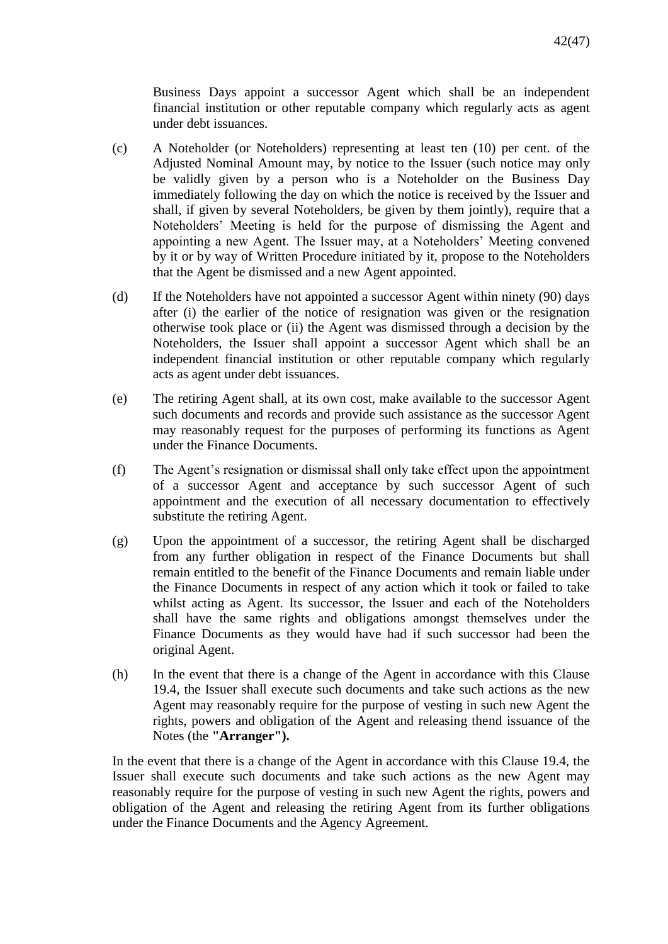Business Days appoint a successor Agent which shall be an independent financial institution or other reputable company which regularly acts as agent under debt issuances.

- (c) A Noteholder (or Noteholders) representing at least ten (10) per cent. of the Adjusted Nominal Amount may, by notice to the Issuer (such notice may only be validly given by a person who is a Noteholder on the Business Day immediately following the day on which the notice is received by the Issuer and shall, if given by several Noteholders, be given by them jointly), require that a Noteholders' Meeting is held for the purpose of dismissing the Agent and appointing a new Agent. The Issuer may, at a Noteholders' Meeting convened by it or by way of Written Procedure initiated by it, propose to the Noteholders that the Agent be dismissed and a new Agent appointed.
- (d) If the Noteholders have not appointed a successor Agent within ninety (90) days after (i) the earlier of the notice of resignation was given or the resignation otherwise took place or (ii) the Agent was dismissed through a decision by the Noteholders, the Issuer shall appoint a successor Agent which shall be an independent financial institution or other reputable company which regularly acts as agent under debt issuances.
- (e) The retiring Agent shall, at its own cost, make available to the successor Agent such documents and records and provide such assistance as the successor Agent may reasonably request for the purposes of performing its functions as Agent under the Finance Documents.
- (f) The Agent's resignation or dismissal shall only take effect upon the appointment of a successor Agent and acceptance by such successor Agent of such appointment and the execution of all necessary documentation to effectively substitute the retiring Agent.
- (g) Upon the appointment of a successor, the retiring Agent shall be discharged from any further obligation in respect of the Finance Documents but shall remain entitled to the benefit of the Finance Documents and remain liable under the Finance Documents in respect of any action which it took or failed to take whilst acting as Agent. Its successor, the Issuer and each of the Noteholders shall have the same rights and obligations amongst themselves under the Finance Documents as they would have had if such successor had been the original Agent.
- (h) In the event that there is a change of the Agent in accordance with this Clause 19.4, the Issuer shall execute such documents and take such actions as the new Agent may reasonably require for the purpose of vesting in such new Agent the rights, powers and obligation of the Agent and releasing thend issuance of the Notes (the **"Arranger").**

In the event that there is a change of the Agent in accordance with this Clause 19.4, the Issuer shall execute such documents and take such actions as the new Agent may reasonably require for the purpose of vesting in such new Agent the rights, powers and obligation of the Agent and releasing the retiring Agent from its further obligations under the Finance Documents and the Agency Agreement.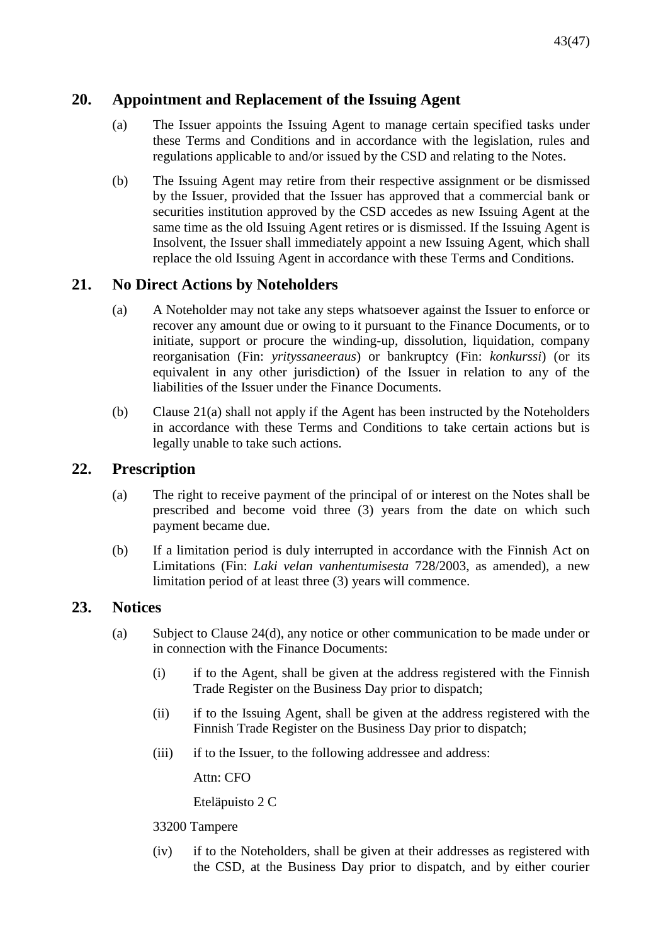# **20. Appointment and Replacement of the Issuing Agent**

- (a) The Issuer appoints the Issuing Agent to manage certain specified tasks under these Terms and Conditions and in accordance with the legislation, rules and regulations applicable to and/or issued by the CSD and relating to the Notes.
- (b) The Issuing Agent may retire from their respective assignment or be dismissed by the Issuer, provided that the Issuer has approved that a commercial bank or securities institution approved by the CSD accedes as new Issuing Agent at the same time as the old Issuing Agent retires or is dismissed. If the Issuing Agent is Insolvent, the Issuer shall immediately appoint a new Issuing Agent, which shall replace the old Issuing Agent in accordance with these Terms and Conditions.

# **21. No Direct Actions by Noteholders**

- (a) A Noteholder may not take any steps whatsoever against the Issuer to enforce or recover any amount due or owing to it pursuant to the Finance Documents, or to initiate, support or procure the winding-up, dissolution, liquidation, company reorganisation (Fin: *yrityssaneeraus*) or bankruptcy (Fin: *konkurssi*) (or its equivalent in any other jurisdiction) of the Issuer in relation to any of the liabilities of the Issuer under the Finance Documents.
- (b) Clause 21(a) shall not apply if the Agent has been instructed by the Noteholders in accordance with these Terms and Conditions to take certain actions but is legally unable to take such actions.

# **22. Prescription**

- (a) The right to receive payment of the principal of or interest on the Notes shall be prescribed and become void three (3) years from the date on which such payment became due.
- (b) If a limitation period is duly interrupted in accordance with the Finnish Act on Limitations (Fin: *Laki velan vanhentumisesta* 728/2003, as amended), a new limitation period of at least three (3) years will commence.

# **23. Notices**

- (a) Subject to Clause 24(d), any notice or other communication to be made under or in connection with the Finance Documents:
	- (i) if to the Agent, shall be given at the address registered with the Finnish Trade Register on the Business Day prior to dispatch;
	- (ii) if to the Issuing Agent, shall be given at the address registered with the Finnish Trade Register on the Business Day prior to dispatch;
	- (iii) if to the Issuer, to the following addressee and address:

Attn: CFO

Eteläpuisto 2 C

# 33200 Tampere

(iv) if to the Noteholders, shall be given at their addresses as registered with the CSD, at the Business Day prior to dispatch, and by either courier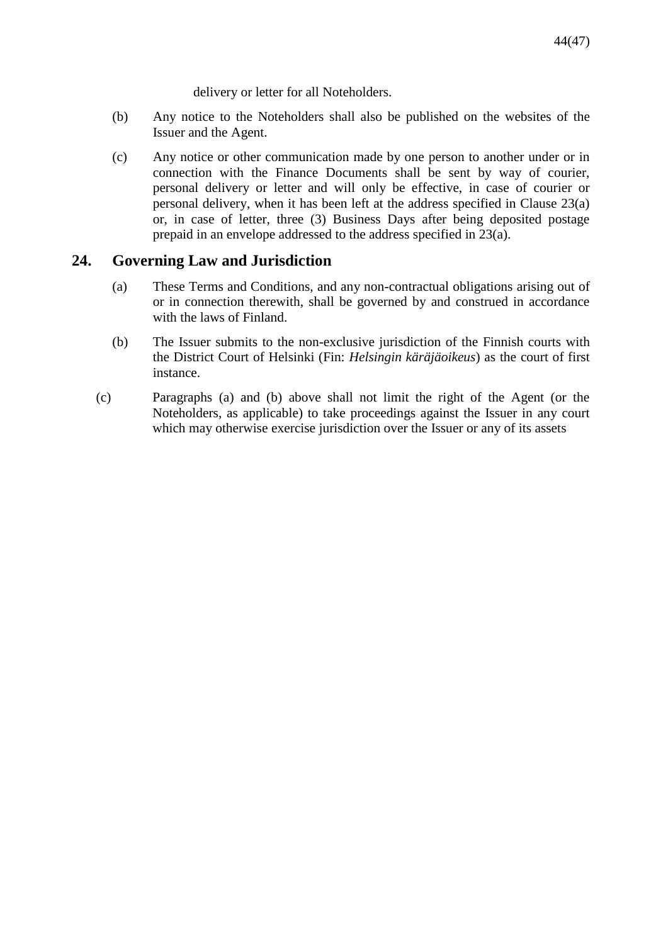delivery or letter for all Noteholders.

- (b) Any notice to the Noteholders shall also be published on the websites of the Issuer and the Agent.
- (c) Any notice or other communication made by one person to another under or in connection with the Finance Documents shall be sent by way of courier, personal delivery or letter and will only be effective, in case of courier or personal delivery, when it has been left at the address specified in Clause 23(a) or, in case of letter, three (3) Business Days after being deposited postage prepaid in an envelope addressed to the address specified in 23(a).

# **24. Governing Law and Jurisdiction**

- (a) These Terms and Conditions, and any non-contractual obligations arising out of or in connection therewith, shall be governed by and construed in accordance with the laws of Finland.
- (b) The Issuer submits to the non-exclusive jurisdiction of the Finnish courts with the District Court of Helsinki (Fin: *Helsingin käräjäoikeus*) as the court of first instance.
- (c) Paragraphs (a) and (b) above shall not limit the right of the Agent (or the Noteholders, as applicable) to take proceedings against the Issuer in any court which may otherwise exercise jurisdiction over the Issuer or any of its assets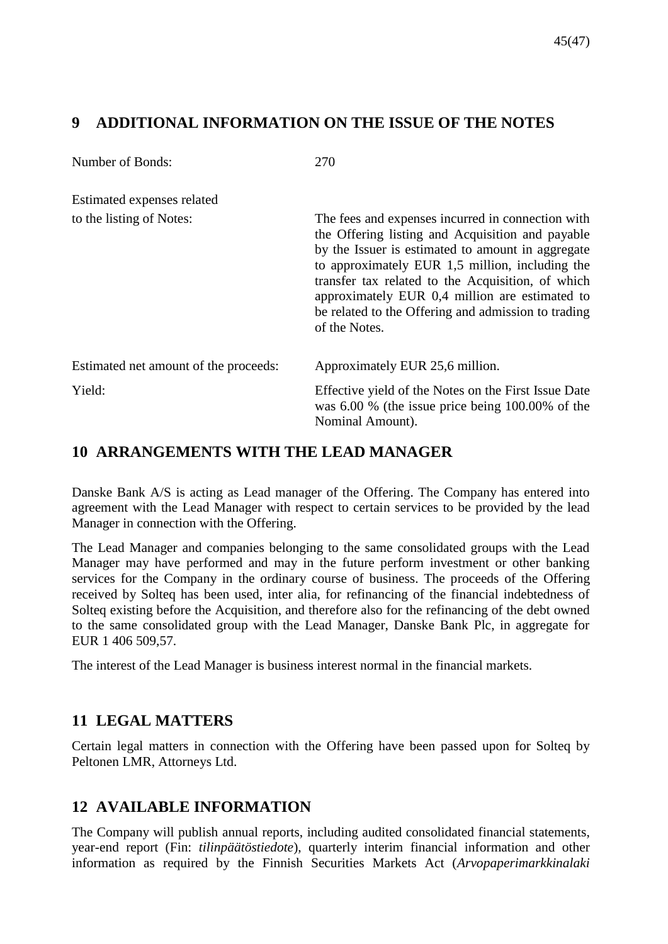# <span id="page-44-0"></span>**9 ADDITIONAL INFORMATION ON THE ISSUE OF THE NOTES**

| Number of Bonds:                      | 270                                                                                                                                                                                                                                                                                                                                                                                          |
|---------------------------------------|----------------------------------------------------------------------------------------------------------------------------------------------------------------------------------------------------------------------------------------------------------------------------------------------------------------------------------------------------------------------------------------------|
| Estimated expenses related            |                                                                                                                                                                                                                                                                                                                                                                                              |
| to the listing of Notes:              | The fees and expenses incurred in connection with<br>the Offering listing and Acquisition and payable<br>by the Issuer is estimated to amount in aggregate<br>to approximately EUR 1,5 million, including the<br>transfer tax related to the Acquisition, of which<br>approximately EUR 0,4 million are estimated to<br>be related to the Offering and admission to trading<br>of the Notes. |
| Estimated net amount of the proceeds: | Approximately EUR 25,6 million.                                                                                                                                                                                                                                                                                                                                                              |
| Yield:                                | Effective yield of the Notes on the First Issue Date<br>was $6.00\%$ (the issue price being $100.00\%$ of the<br>Nominal Amount).                                                                                                                                                                                                                                                            |

# <span id="page-44-1"></span>**10 ARRANGEMENTS WITH THE LEAD MANAGER**

Danske Bank A/S is acting as Lead manager of the Offering. The Company has entered into agreement with the Lead Manager with respect to certain services to be provided by the lead Manager in connection with the Offering.

The Lead Manager and companies belonging to the same consolidated groups with the Lead Manager may have performed and may in the future perform investment or other banking services for the Company in the ordinary course of business. The proceeds of the Offering received by Solteq has been used, inter alia, for refinancing of the financial indebtedness of Solteq existing before the Acquisition, and therefore also for the refinancing of the debt owned to the same consolidated group with the Lead Manager, Danske Bank Plc, in aggregate for EUR 1 406 509,57.

The interest of the Lead Manager is business interest normal in the financial markets.

# <span id="page-44-2"></span>**11 LEGAL MATTERS**

Certain legal matters in connection with the Offering have been passed upon for Solteq by Peltonen LMR, Attorneys Ltd.

# <span id="page-44-3"></span>**12 AVAILABLE INFORMATION**

The Company will publish annual reports, including audited consolidated financial statements, year-end report (Fin: *tilinpäätöstiedote*), quarterly interim financial information and other information as required by the Finnish Securities Markets Act (*Arvopaperimarkkinalaki*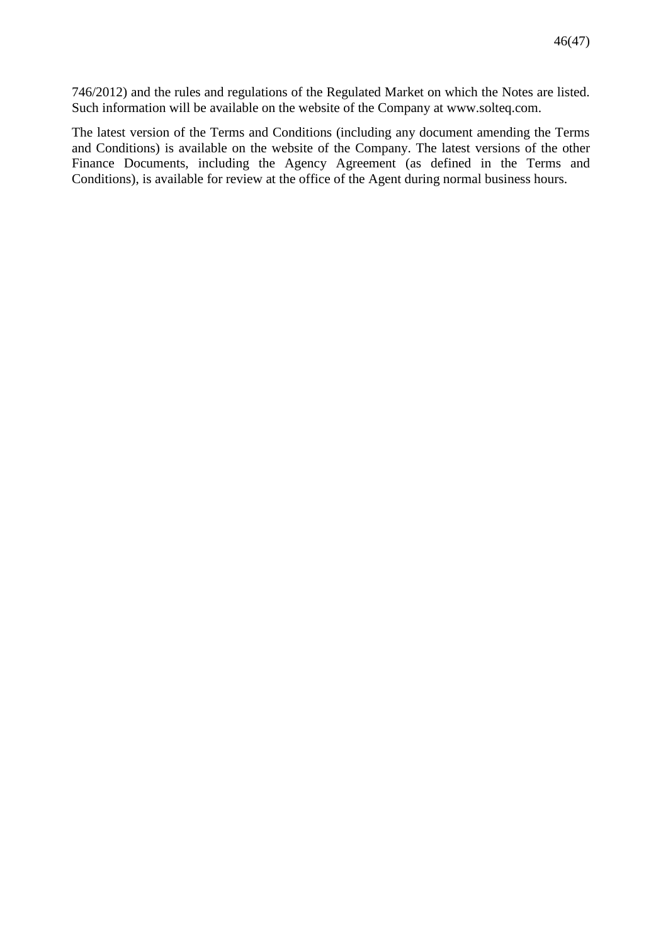746/2012) and the rules and regulations of the Regulated Market on which the Notes are listed. Such information will be available on the website of the Company at www.solteq.com.

The latest version of the Terms and Conditions (including any document amending the Terms and Conditions) is available on the website of the Company. The latest versions of the other Finance Documents, including the Agency Agreement (as defined in the Terms and Conditions), is available for review at the office of the Agent during normal business hours.